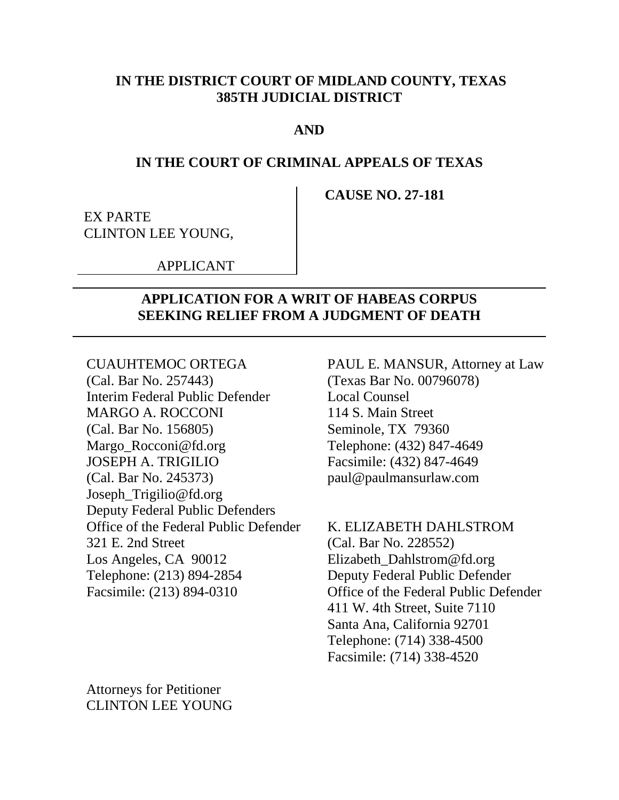#### **IN THE DISTRICT COURT OF MIDLAND COUNTY, TEXAS 385TH JUDICIAL DISTRICT**

#### **AND**

#### **IN THE COURT OF CRIMINAL APPEALS OF TEXAS**

**CAUSE NO. 27-181**

EX PARTE CLINTON LEE YOUNG,

APPLICANT

#### **APPLICATION FOR A WRIT OF HABEAS CORPUS SEEKING RELIEF FROM A JUDGMENT OF DEATH**

CUAUHTEMOC ORTEGA PAUL E. MANSUR, Attorney at Law (Cal. Bar No. 257443) (Texas Bar No. 00796078) Interim Federal Public Defender Local Counsel MARGO A. ROCCONI 114 S. Main Street (Cal. Bar No. 156805) Seminole, TX 79360 Margo\_Rocconi@fd.org Telephone: (432) 847-4649 JOSEPH A. TRIGILIO Facsimile: (432) 847-4649 (Cal. Bar No. 245373) paul@paulmansurlaw.com Joseph\_Trigilio@fd.org Deputy Federal Public Defenders Office of the Federal Public Defender K. ELIZABETH DAHLSTROM 321 E. 2nd Street (Cal. Bar No. 228552) Los Angeles, CA 90012 Elizabeth Dahlstrom@fd.org Telephone: (213) 894-2854 Deputy Federal Public Defender

Facsimile: (213) 894-0310 Office of the Federal Public Defender 411 W. 4th Street, Suite 7110 Santa Ana, California 92701 Telephone: (714) 338-4500 Facsimile: (714) 338-4520

Attorneys for Petitioner CLINTON LEE YOUNG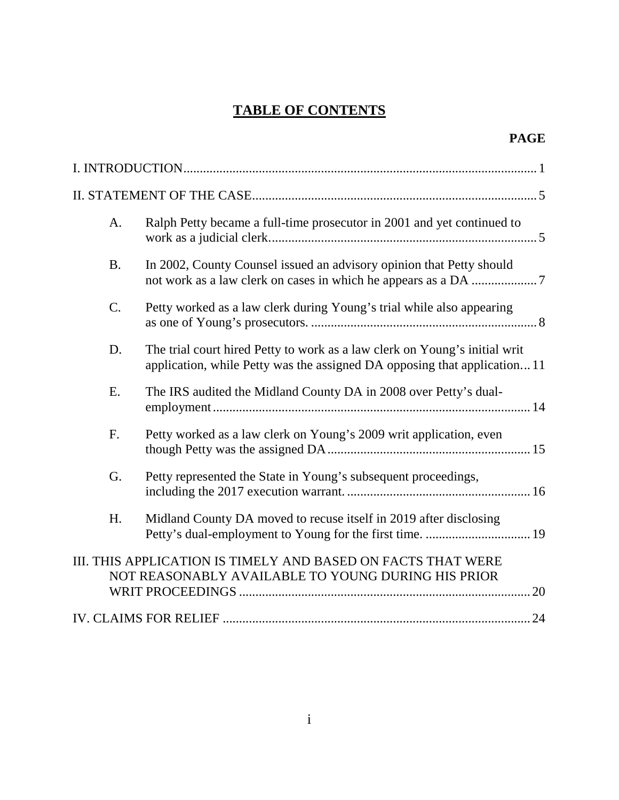# **TABLE OF CONTENTS**

| A.              | Ralph Petty became a full-time prosecutor in 2001 and yet continued to                                                                                 |  |
|-----------------|--------------------------------------------------------------------------------------------------------------------------------------------------------|--|
| <b>B.</b>       | In 2002, County Counsel issued an advisory opinion that Petty should                                                                                   |  |
| $\mathcal{C}$ . | Petty worked as a law clerk during Young's trial while also appearing                                                                                  |  |
| D.              | The trial court hired Petty to work as a law clerk on Young's initial writ<br>application, while Petty was the assigned DA opposing that application11 |  |
| E.              | The IRS audited the Midland County DA in 2008 over Petty's dual-                                                                                       |  |
| F.              | Petty worked as a law clerk on Young's 2009 writ application, even                                                                                     |  |
| G.              | Petty represented the State in Young's subsequent proceedings,                                                                                         |  |
| H.              | Midland County DA moved to recuse itself in 2019 after disclosing<br>Petty's dual-employment to Young for the first time.  19                          |  |
|                 | III. THIS APPLICATION IS TIMELY AND BASED ON FACTS THAT WERE<br>NOT REASONABLY AVAILABLE TO YOUNG DURING HIS PRIOR                                     |  |
|                 |                                                                                                                                                        |  |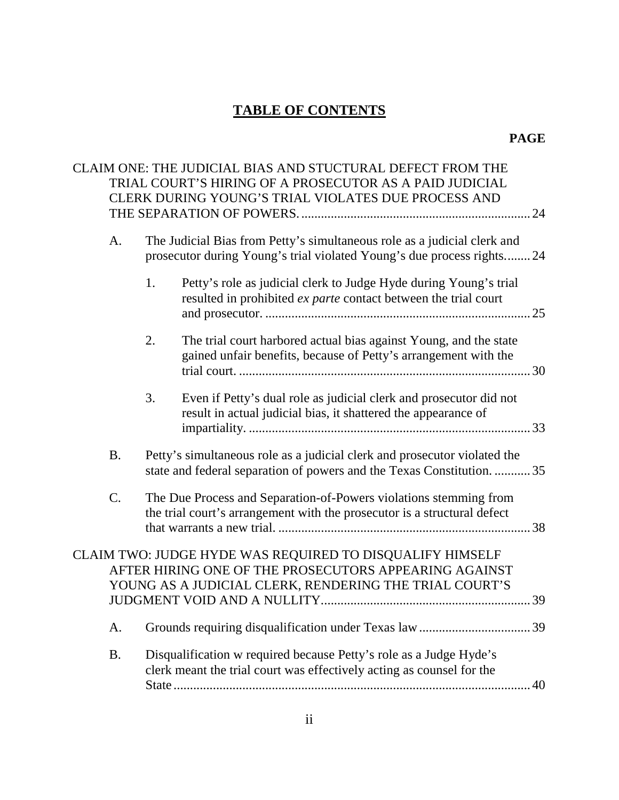# **TABLE OF CONTENTS**

#### **PAGE**

|           | CLAIM ONE: THE JUDICIAL BIAS AND STUCTURAL DEFECT FROM THE<br>TRIAL COURT'S HIRING OF A PROSECUTOR AS A PAID JUDICIAL<br>CLERK DURING YOUNG'S TRIAL VIOLATES DUE PROCESS AND |  |
|-----------|------------------------------------------------------------------------------------------------------------------------------------------------------------------------------|--|
|           | . 24                                                                                                                                                                         |  |
| A.        | The Judicial Bias from Petty's simultaneous role as a judicial clerk and<br>prosecutor during Young's trial violated Young's due process rights 24                           |  |
|           | Petty's role as judicial clerk to Judge Hyde during Young's trial<br>1.<br>resulted in prohibited ex parte contact between the trial court                                   |  |
|           | 2.<br>The trial court harbored actual bias against Young, and the state<br>gained unfair benefits, because of Petty's arrangement with the                                   |  |
|           | 3.<br>Even if Petty's dual role as judicial clerk and prosecutor did not<br>result in actual judicial bias, it shattered the appearance of                                   |  |
| <b>B.</b> | Petty's simultaneous role as a judicial clerk and prosecutor violated the<br>state and federal separation of powers and the Texas Constitution. 35                           |  |
| C.        | The Due Process and Separation-of-Powers violations stemming from<br>the trial court's arrangement with the prosecutor is a structural defect                                |  |
|           | CLAIM TWO: JUDGE HYDE WAS REQUIRED TO DISQUALIFY HIMSELF<br>AFTER HIRING ONE OF THE PROSECUTORS APPEARING AGAINST<br>YOUNG AS A JUDICIAL CLERK, RENDERING THE TRIAL COURT'S  |  |
| A.        |                                                                                                                                                                              |  |
| <b>B.</b> | Disqualification w required because Petty's role as a Judge Hyde's<br>clerk meant the trial court was effectively acting as counsel for the<br>40                            |  |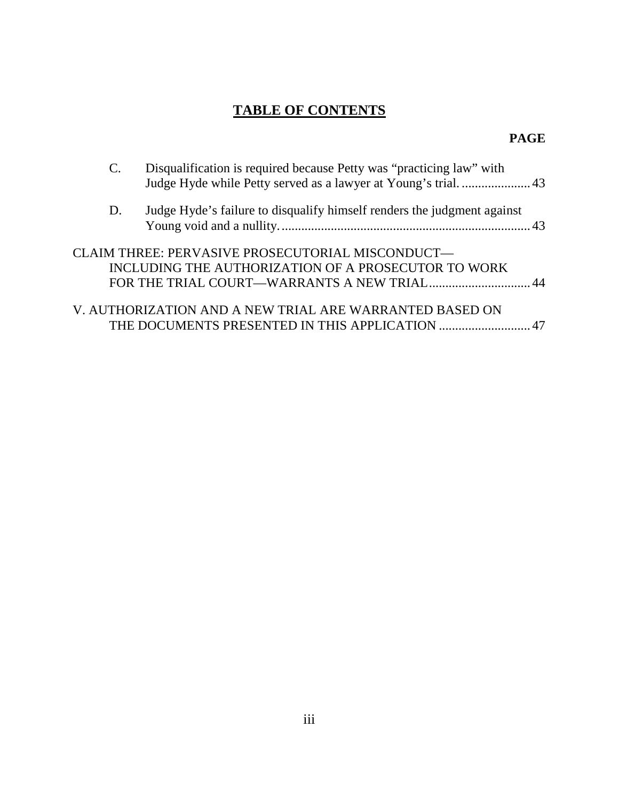# **TABLE OF CONTENTS**

#### **PAGE**

|    | Disqualification is required because Petty was "practicing law" with<br>Judge Hyde while Petty served as a lawyer at Young's trial 43 |  |
|----|---------------------------------------------------------------------------------------------------------------------------------------|--|
| D. | Judge Hyde's failure to disqualify himself renders the judgment against                                                               |  |
|    | CLAIM THREE: PERVASIVE PROSECUTORIAL MISCONDUCT—<br>INCLUDING THE AUTHORIZATION OF A PROSECUTOR TO WORK                               |  |
|    | V. AUTHORIZATION AND A NEW TRIAL ARE WARRANTED BASED ON<br>THE DOCUMENTS PRESENTED IN THIS APPLICATION 47                             |  |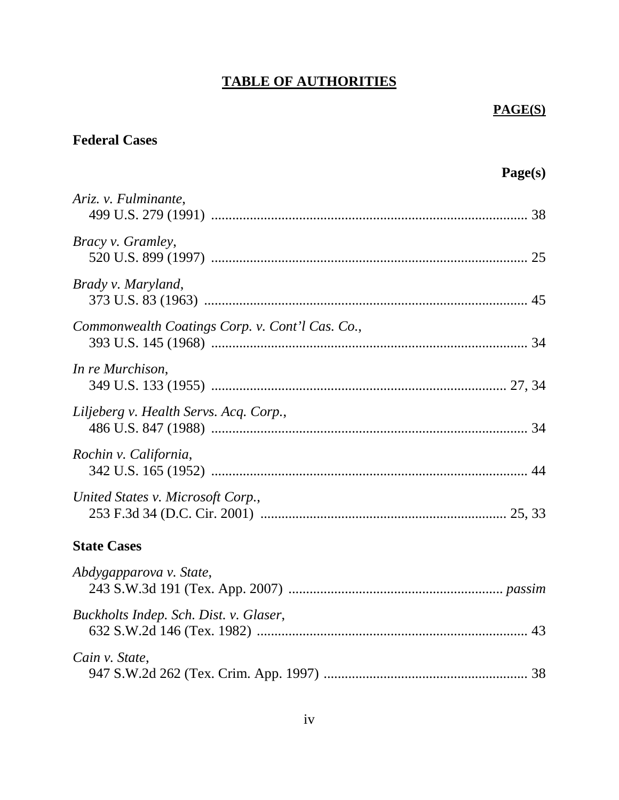#### **TABLE OF AUTHORITIES**

#### **PAGE(S)**

# **Federal Cases**

# **Page(s)** *Ariz. v. Fulminante*, 499 U.S. 279 (1991) .......................................................................................... [38](#page-44-0) *Bracy v. Gramley*, 520 U.S. 899 (1997) .......................................................................................... [25](#page-31-0) *Brady v. Maryland*, 373 U.S. 83 (1963) ............................................................................................ [45](#page-51-0) *Commonwealth Coatings Corp. v. Cont'l Cas. Co.*, 393 U.S. 145 (1968) .......................................................................................... [34](#page-40-0) *In re Murchison*, 349 U.S. 133 (1955) .................................................................................... [27,](#page-33-0) [34](#page-40-1) *Liljeberg v. Health Servs. Acq. Corp.*, 486 U.S. 847 (1988) .......................................................................................... [34](#page-40-2) *Rochin v. California*, 342 U.S. 165 (1952) .......................................................................................... [44](#page-50-0) *United States v. Microsoft Corp.*, 253 F.3d 34 (D.C. Cir. 2001) ...................................................................... [25,](#page-31-1) [33](#page-39-0) **State Cases** *Abdygapparova v. State*, 243 S.W.3d 191 (Tex. App. 2007) ............................................................. *passim Buckholts Indep. Sch. Dist. v. Glaser*, 632 S.W.2d 146 (Tex. 1982) ............................................................................. [43](#page-49-0) *Cain v. State*, 947 S.W.2d 262 (Tex. Crim. App. 1997) .......................................................... [38](#page-44-1)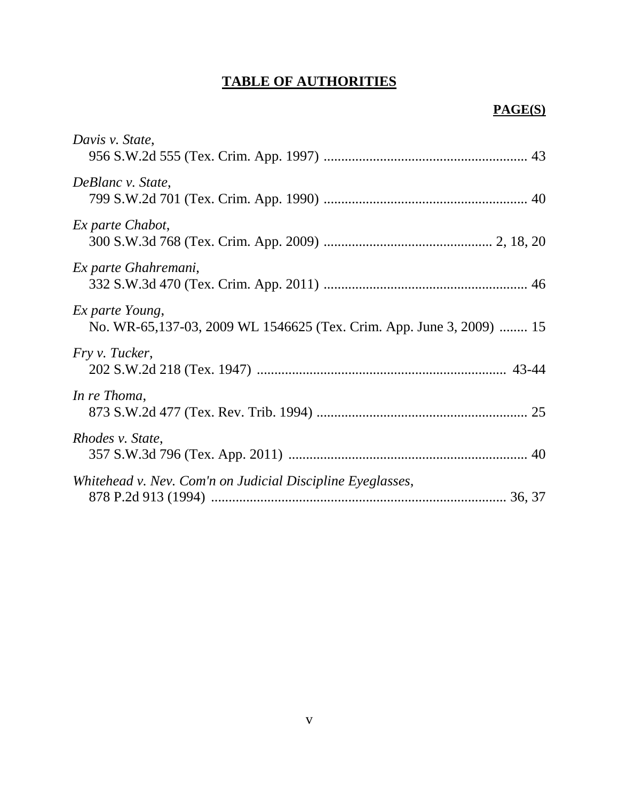# **TABLE OF AUTHORITIES**

### **PAGE(S)**

| Davis v. State,                                                                         |
|-----------------------------------------------------------------------------------------|
| DeBlanc v. State,                                                                       |
| Ex parte Chabot,                                                                        |
| Ex parte Ghahremani,                                                                    |
| Ex parte Young,<br>No. WR-65,137-03, 2009 WL 1546625 (Tex. Crim. App. June 3, 2009)  15 |
| Fry v. Tucker,                                                                          |
| In re Thoma,                                                                            |
| Rhodes v. State,                                                                        |
| Whitehead v. Nev. Com'n on Judicial Discipline Eyeglasses,                              |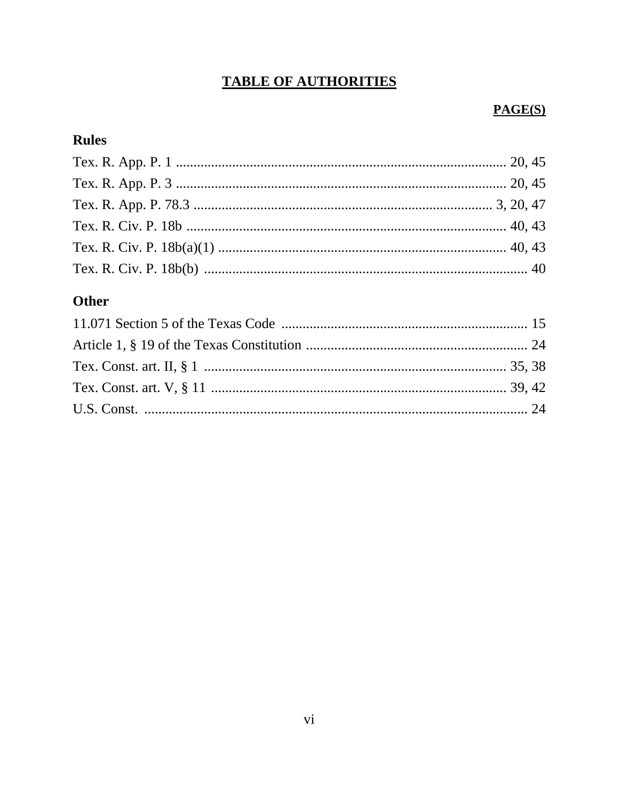# **TABLE OF AUTHORITIES**

### PAGE(S)

### **Rules**

# Other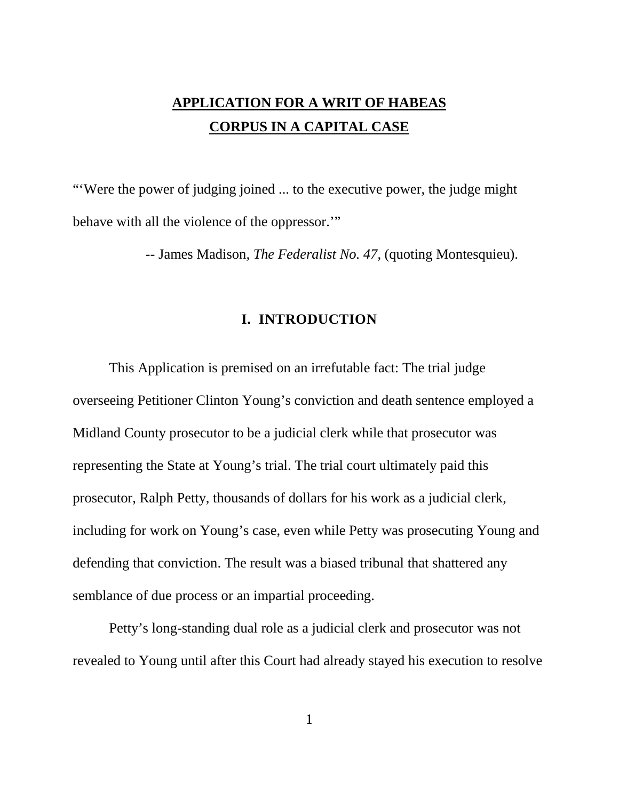# **APPLICATION FOR A WRIT OF HABEAS CORPUS IN A CAPITAL CASE**

"'Were the power of judging joined ... to the executive power, the judge might behave with all the violence of the oppressor."

*--* James Madison*, The Federalist No. 47*, (quoting Montesquieu).

#### **I. INTRODUCTION**

This Application is premised on an irrefutable fact: The trial judge overseeing Petitioner Clinton Young's conviction and death sentence employed a Midland County prosecutor to be a judicial clerk while that prosecutor was representing the State at Young's trial. The trial court ultimately paid this prosecutor, Ralph Petty, thousands of dollars for his work as a judicial clerk, including for work on Young's case, even while Petty was prosecuting Young and defending that conviction. The result was a biased tribunal that shattered any semblance of due process or an impartial proceeding.

Petty's long-standing dual role as a judicial clerk and prosecutor was not revealed to Young until after this Court had already stayed his execution to resolve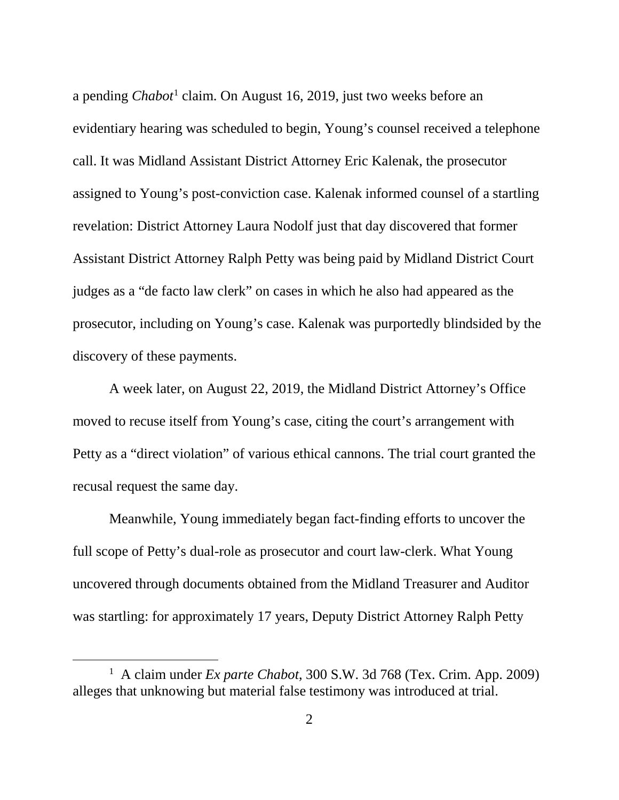a pending *Chabot*[1](#page-8-1) claim. On August 16, 2019, just two weeks before an evidentiary hearing was scheduled to begin, Young's counsel received a telephone call. It was Midland Assistant District Attorney Eric Kalenak, the prosecutor assigned to Young's post-conviction case. Kalenak informed counsel of a startling revelation: District Attorney Laura Nodolf just that day discovered that former Assistant District Attorney Ralph Petty was being paid by Midland District Court judges as a "de facto law clerk" on cases in which he also had appeared as the prosecutor, including on Young's case. Kalenak was purportedly blindsided by the discovery of these payments.

A week later, on August 22, 2019, the Midland District Attorney's Office moved to recuse itself from Young's case, citing the court's arrangement with Petty as a "direct violation" of various ethical cannons. The trial court granted the recusal request the same day.

Meanwhile, Young immediately began fact-finding efforts to uncover the full scope of Petty's dual-role as prosecutor and court law-clerk. What Young uncovered through documents obtained from the Midland Treasurer and Auditor was startling: for approximately 17 years, Deputy District Attorney Ralph Petty

<span id="page-8-1"></span><span id="page-8-0"></span> <sup>1</sup> A claim under *Ex parte Chabot*, 300 S.W. 3d 768 (Tex. Crim. App. 2009) alleges that unknowing but material false testimony was introduced at trial.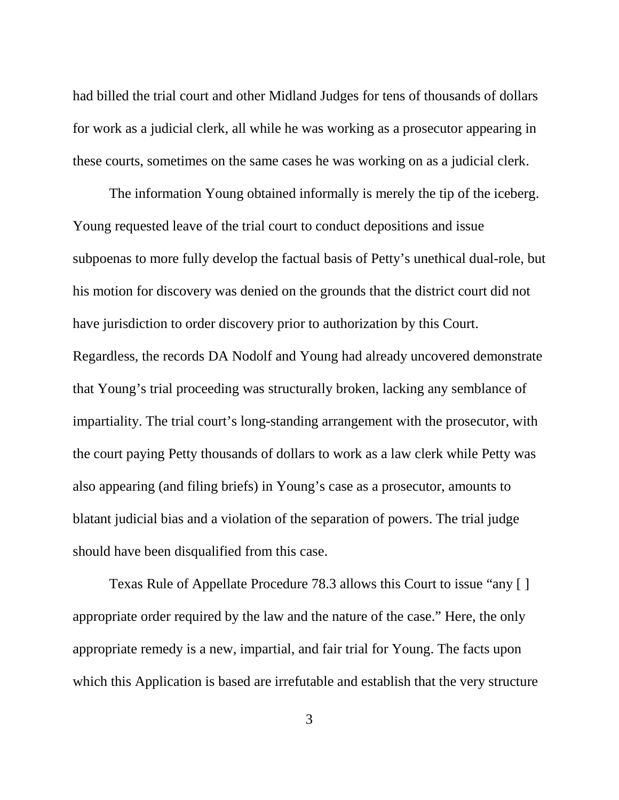had billed the trial court and other Midland Judges for tens of thousands of dollars for work as a judicial clerk, all while he was working as a prosecutor appearing in these courts, sometimes on the same cases he was working on as a judicial clerk.

The information Young obtained informally is merely the tip of the iceberg. Young requested leave of the trial court to conduct depositions and issue subpoenas to more fully develop the factual basis of Petty's unethical dual-role, but his motion for discovery was denied on the grounds that the district court did not have jurisdiction to order discovery prior to authorization by this Court. Regardless, the records DA Nodolf and Young had already uncovered demonstrate that Young's trial proceeding was structurally broken, lacking any semblance of impartiality. The trial court's long-standing arrangement with the prosecutor, with the court paying Petty thousands of dollars to work as a law clerk while Petty was also appearing (and filing briefs) in Young's case as a prosecutor, amounts to blatant judicial bias and a violation of the separation of powers. The trial judge should have been disqualified from this case.

<span id="page-9-0"></span>Texas Rule of Appellate Procedure 78.3 allows this Court to issue "any [ ] appropriate order required by the law and the nature of the case." Here, the only appropriate remedy is a new, impartial, and fair trial for Young. The facts upon which this Application is based are irrefutable and establish that the very structure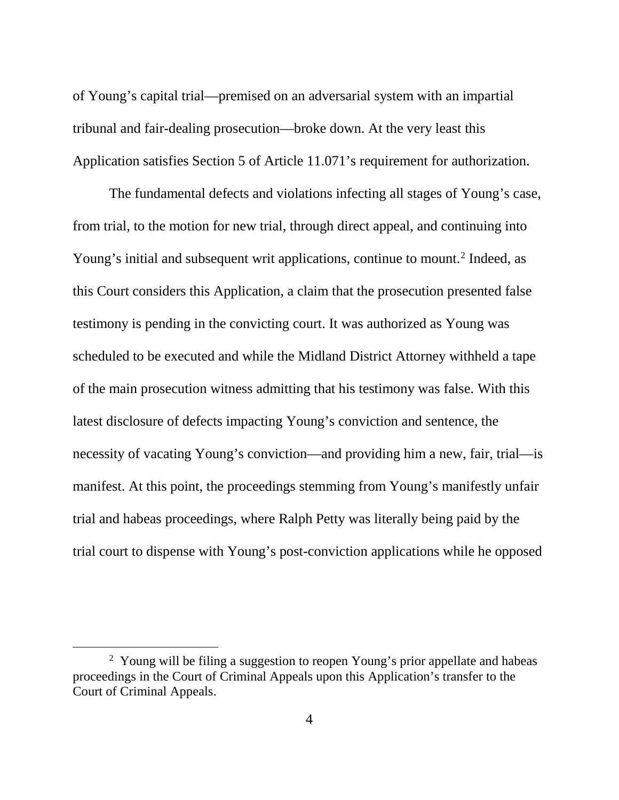of Young's capital trial—premised on an adversarial system with an impartial tribunal and fair-dealing prosecution—broke down. At the very least this Application satisfies Section 5 of Article 11.071's requirement for authorization.

The fundamental defects and violations infecting all stages of Young's case, from trial, to the motion for new trial, through direct appeal, and continuing into Young's initial and subsequent writ applications, continue to mount.<sup>[2](#page-10-0)</sup> Indeed, as this Court considers this Application, a claim that the prosecution presented false testimony is pending in the convicting court. It was authorized as Young was scheduled to be executed and while the Midland District Attorney withheld a tape of the main prosecution witness admitting that his testimony was false. With this latest disclosure of defects impacting Young's conviction and sentence, the necessity of vacating Young's conviction—and providing him a new, fair, trial—is manifest. At this point, the proceedings stemming from Young's manifestly unfair trial and habeas proceedings, where Ralph Petty was literally being paid by the trial court to dispense with Young's post-conviction applications while he opposed

<span id="page-10-0"></span> <sup>2</sup> <sup>2</sup> Young will be filing a suggestion to reopen Young's prior appellate and habeas proceedings in the Court of Criminal Appeals upon this Application's transfer to the Court of Criminal Appeals.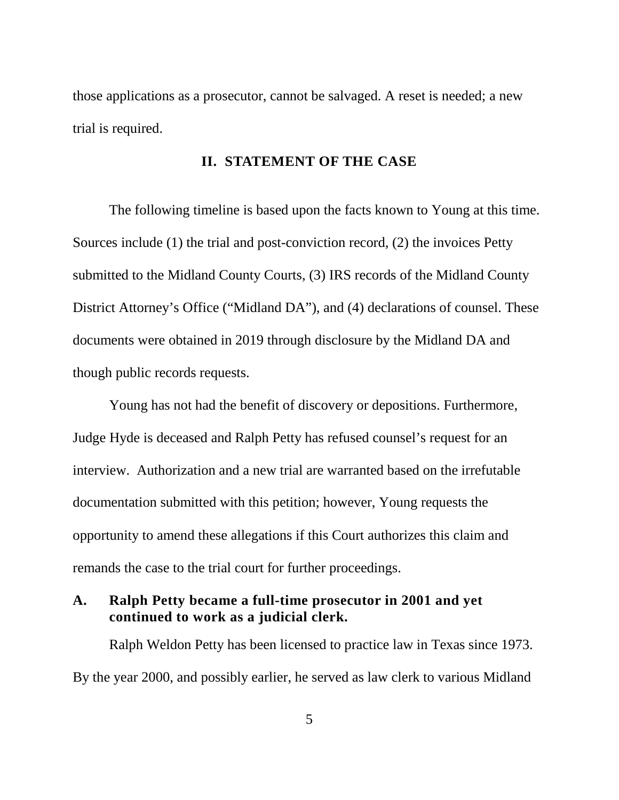those applications as a prosecutor, cannot be salvaged. A reset is needed; a new trial is required.

#### **II. STATEMENT OF THE CASE**

The following timeline is based upon the facts known to Young at this time. Sources include (1) the trial and post-conviction record, (2) the invoices Petty submitted to the Midland County Courts, (3) IRS records of the Midland County District Attorney's Office ("Midland DA"), and (4) declarations of counsel. These documents were obtained in 2019 through disclosure by the Midland DA and though public records requests.

Young has not had the benefit of discovery or depositions. Furthermore, Judge Hyde is deceased and Ralph Petty has refused counsel's request for an interview. Authorization and a new trial are warranted based on the irrefutable documentation submitted with this petition; however, Young requests the opportunity to amend these allegations if this Court authorizes this claim and remands the case to the trial court for further proceedings.

#### **A. Ralph Petty became a full-time prosecutor in 2001 and yet continued to work as a judicial clerk.**

Ralph Weldon Petty has been licensed to practice law in Texas since 1973. By the year 2000, and possibly earlier, he served as law clerk to various Midland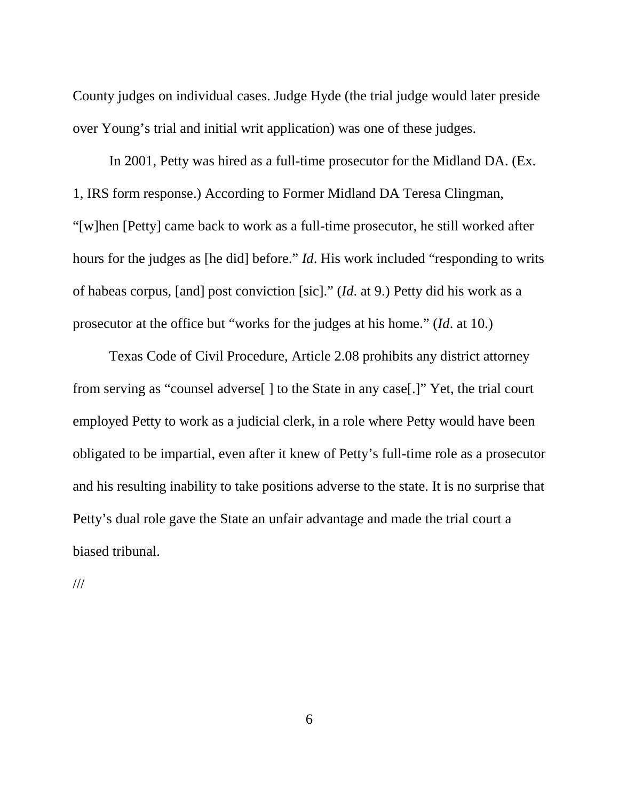County judges on individual cases. Judge Hyde (the trial judge would later preside over Young's trial and initial writ application) was one of these judges.

In 2001, Petty was hired as a full-time prosecutor for the Midland DA. (Ex. 1, IRS form response.) According to Former Midland DA Teresa Clingman, "[w]hen [Petty] came back to work as a full-time prosecutor, he still worked after hours for the judges as [he did] before." *Id*. His work included "responding to writs of habeas corpus, [and] post conviction [sic]." (*Id*. at 9.) Petty did his work as a prosecutor at the office but "works for the judges at his home." (*Id*. at 10.)

Texas Code of Civil Procedure, Article 2.08 prohibits any district attorney from serving as "counsel adverse[ ] to the State in any case[.]" Yet, the trial court employed Petty to work as a judicial clerk, in a role where Petty would have been obligated to be impartial, even after it knew of Petty's full-time role as a prosecutor and his resulting inability to take positions adverse to the state. It is no surprise that Petty's dual role gave the State an unfair advantage and made the trial court a biased tribunal.

///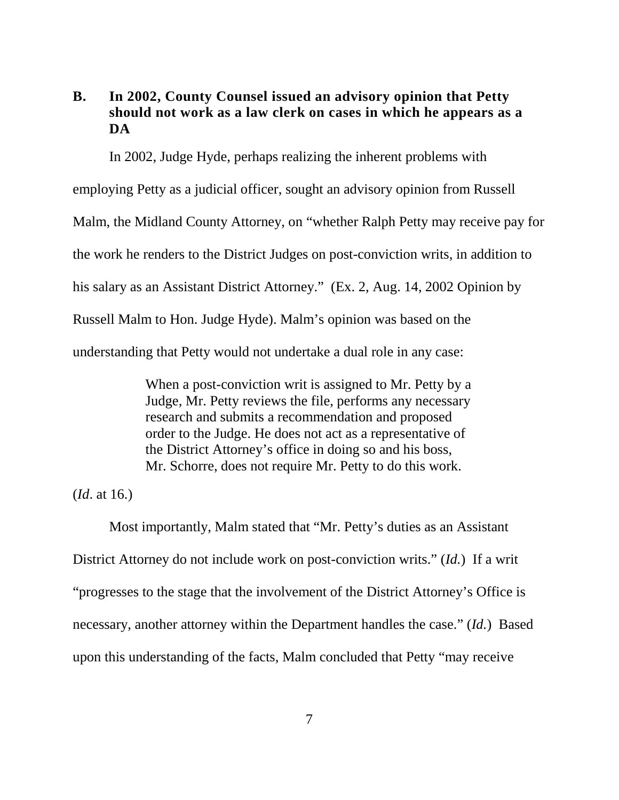#### **B. In 2002, County Counsel issued an advisory opinion that Petty should not work as a law clerk on cases in which he appears as a DA**

In 2002, Judge Hyde, perhaps realizing the inherent problems with employing Petty as a judicial officer, sought an advisory opinion from Russell Malm, the Midland County Attorney, on "whether Ralph Petty may receive pay for the work he renders to the District Judges on post-conviction writs, in addition to his salary as an Assistant District Attorney." (Ex. 2, Aug. 14, 2002 Opinion by Russell Malm to Hon. Judge Hyde). Malm's opinion was based on the understanding that Petty would not undertake a dual role in any case:

> When a post-conviction writ is assigned to Mr. Petty by a Judge, Mr. Petty reviews the file, performs any necessary research and submits a recommendation and proposed order to the Judge. He does not act as a representative of the District Attorney's office in doing so and his boss, Mr. Schorre, does not require Mr. Petty to do this work.

(*Id*. at 16.)

Most importantly, Malm stated that "Mr. Petty's duties as an Assistant District Attorney do not include work on post-conviction writs." (*Id.*) If a writ "progresses to the stage that the involvement of the District Attorney's Office is necessary, another attorney within the Department handles the case." (*Id.*) Based upon this understanding of the facts, Malm concluded that Petty "may receive

7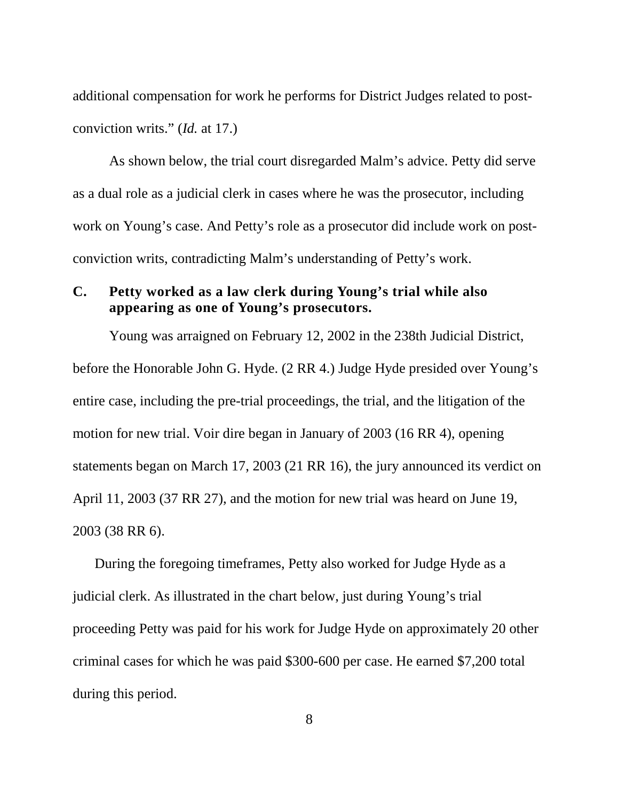additional compensation for work he performs for District Judges related to postconviction writs." (*Id.* at 17.)

As shown below, the trial court disregarded Malm's advice. Petty did serve as a dual role as a judicial clerk in cases where he was the prosecutor, including work on Young's case. And Petty's role as a prosecutor did include work on postconviction writs, contradicting Malm's understanding of Petty's work.

#### **C. Petty worked as a law clerk during Young's trial while also appearing as one of Young's prosecutors.**

Young was arraigned on February 12, 2002 in the 238th Judicial District, before the Honorable John G. Hyde. (2 RR 4.) Judge Hyde presided over Young's entire case, including the pre-trial proceedings, the trial, and the litigation of the motion for new trial. Voir dire began in January of 2003 (16 RR 4), opening statements began on March 17, 2003 (21 RR 16), the jury announced its verdict on April 11, 2003 (37 RR 27), and the motion for new trial was heard on June 19, 2003 (38 RR 6).

During the foregoing timeframes, Petty also worked for Judge Hyde as a judicial clerk. As illustrated in the chart below, just during Young's trial proceeding Petty was paid for his work for Judge Hyde on approximately 20 other criminal cases for which he was paid \$300-600 per case. He earned \$7,200 total during this period.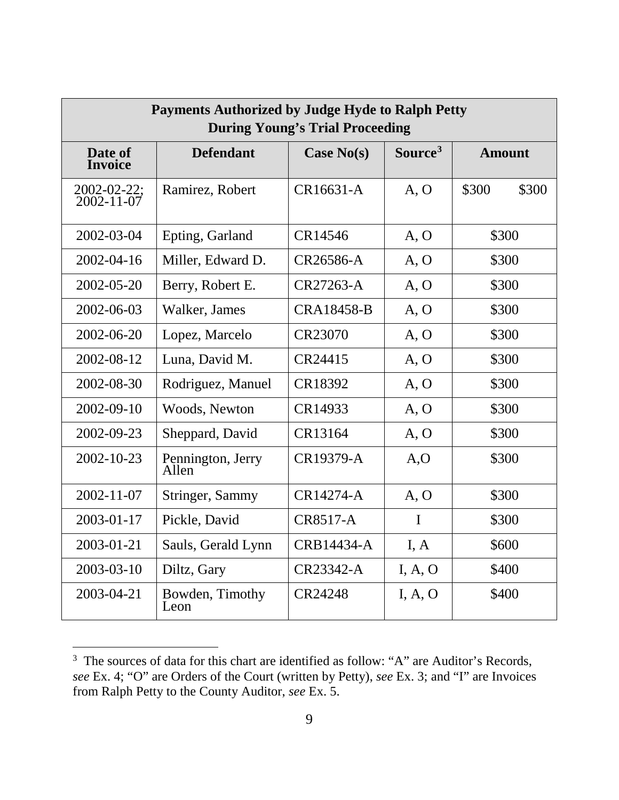| <b>Payments Authorized by Judge Hyde to Ralph Petty</b><br><b>During Young's Trial Proceeding</b> |                            |                   |                     |                |
|---------------------------------------------------------------------------------------------------|----------------------------|-------------------|---------------------|----------------|
| Date of<br><b>Invoice</b>                                                                         | <b>Defendant</b>           | Case $No(s)$      | Source <sup>3</sup> | <b>Amount</b>  |
| $2002 - 02 - 22$ ;<br>$2002 - 11 - 07$                                                            | Ramirez, Robert            | CR16631-A         | A, O                | \$300<br>\$300 |
| $2002 - 03 - 04$                                                                                  | Epting, Garland            | CR14546           | A, O                | \$300          |
| 2002-04-16                                                                                        | Miller, Edward D.          | CR26586-A         | A, O                | \$300          |
| 2002-05-20                                                                                        | Berry, Robert E.           | CR27263-A         | A, O                | \$300          |
| 2002-06-03                                                                                        | Walker, James              | <b>CRA18458-B</b> | A, O                | \$300          |
| 2002-06-20                                                                                        | Lopez, Marcelo             | CR23070           | A, O                | \$300          |
| 2002-08-12                                                                                        | Luna, David M.             | CR24415           | A, O                | \$300          |
| 2002-08-30                                                                                        | Rodriguez, Manuel          | CR18392           | A, O                | \$300          |
| 2002-09-10                                                                                        | Woods, Newton              | CR14933           | A, O                | \$300          |
| $2002 - 09 - 23$                                                                                  | Sheppard, David            | CR13164           | A, O                | \$300          |
| $2002 - 10 - 23$                                                                                  | Pennington, Jerry<br>Allen | CR19379-A         | A, O                | \$300          |
| $2002 - 11 - 07$                                                                                  | Stringer, Sammy            | CR14274-A         | A, O                | \$300          |
| $2003 - 01 - 17$                                                                                  | Pickle, David              | <b>CR8517-A</b>   | $\mathbf I$         | \$300          |
| 2003-01-21                                                                                        | Sauls, Gerald Lynn         | CRB14434-A        | I, A                | \$600          |
| $2003 - 03 - 10$                                                                                  | Diltz, Gary                | CR23342-A         | I, A, O             | \$400          |
| 2003-04-21                                                                                        | Bowden, Timothy<br>Leon    | CR24248           | I, A, O             | \$400          |

<span id="page-15-0"></span> <sup>3</sup> <sup>3</sup> The sources of data for this chart are identified as follow: "A" are Auditor's Records, *see* Ex. 4; "O" are Orders of the Court (written by Petty), *see* Ex. 3; and "I" are Invoices from Ralph Petty to the County Auditor, *see* Ex. 5.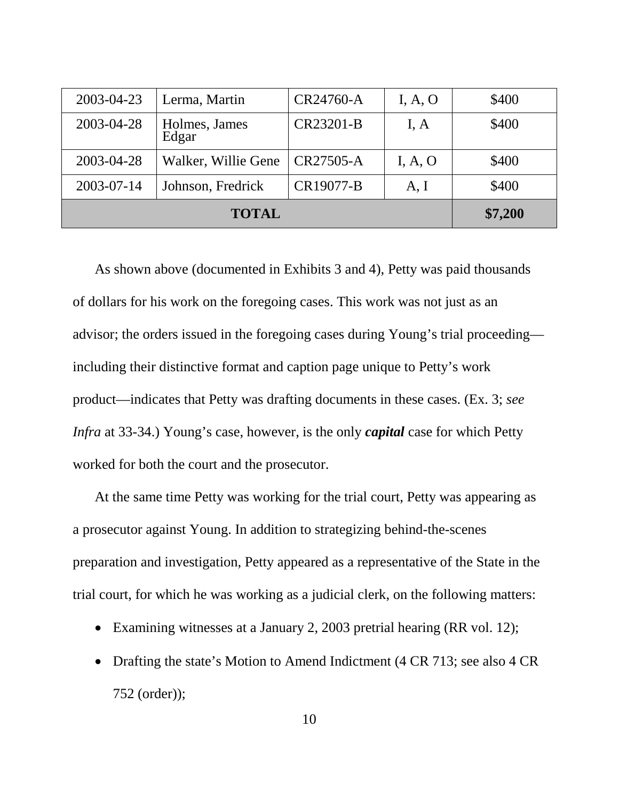| <b>TOTAL</b> |                        |           | \$7,200 |       |
|--------------|------------------------|-----------|---------|-------|
| 2003-07-14   | Johnson, Fredrick      | CR19077-B | A, I    | \$400 |
| 2003-04-28   | Walker, Willie Gene    | CR27505-A | I, A, O | \$400 |
| 2003-04-28   | Holmes, James<br>Edgar | CR23201-B | I, A    | \$400 |
| 2003-04-23   | Lerma, Martin          | CR24760-A | I, A, O | \$400 |

As shown above (documented in Exhibits 3 and 4), Petty was paid thousands of dollars for his work on the foregoing cases. This work was not just as an advisor; the orders issued in the foregoing cases during Young's trial proceeding including their distinctive format and caption page unique to Petty's work product—indicates that Petty was drafting documents in these cases. (Ex. 3; *see Infra* at 33-34.) Young's case, however, is the only *capital* case for which Petty worked for both the court and the prosecutor.

At the same time Petty was working for the trial court, Petty was appearing as a prosecutor against Young. In addition to strategizing behind-the-scenes preparation and investigation, Petty appeared as a representative of the State in the trial court, for which he was working as a judicial clerk, on the following matters:

- Examining witnesses at a January 2, 2003 pretrial hearing (RR vol. 12);
- Drafting the state's Motion to Amend Indictment (4 CR 713; see also 4 CR 752 (order));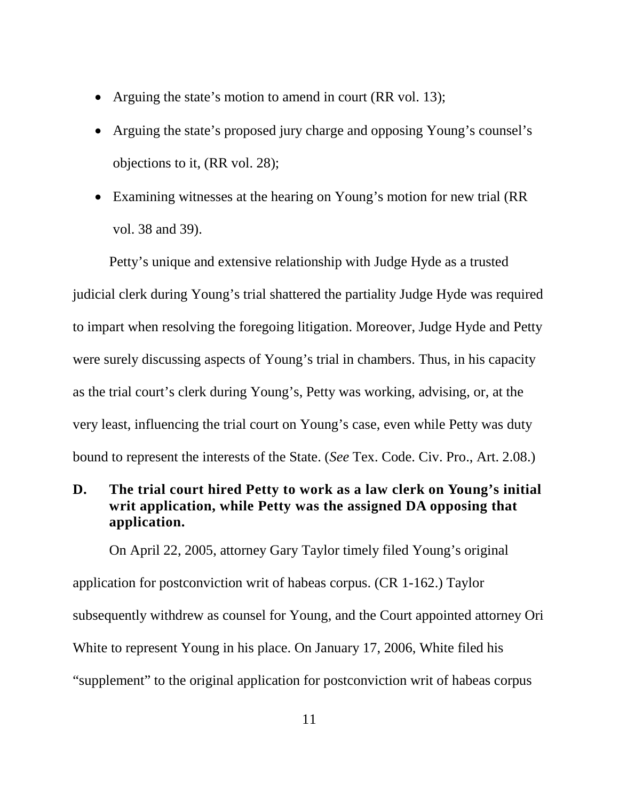- Arguing the state's motion to amend in court (RR vol. 13);
- Arguing the state's proposed jury charge and opposing Young's counsel's objections to it, (RR vol. 28);
- Examining witnesses at the hearing on Young's motion for new trial (RR vol. 38 and 39).

Petty's unique and extensive relationship with Judge Hyde as a trusted judicial clerk during Young's trial shattered the partiality Judge Hyde was required to impart when resolving the foregoing litigation. Moreover, Judge Hyde and Petty were surely discussing aspects of Young's trial in chambers. Thus, in his capacity as the trial court's clerk during Young's, Petty was working, advising, or, at the very least, influencing the trial court on Young's case, even while Petty was duty bound to represent the interests of the State. (*See* Tex. Code. Civ. Pro., Art. 2.08.)

#### **D. The trial court hired Petty to work as a law clerk on Young's initial writ application, while Petty was the assigned DA opposing that application.**

On April 22, 2005, attorney Gary Taylor timely filed Young's original application for postconviction writ of habeas corpus. (CR 1-162.) Taylor subsequently withdrew as counsel for Young, and the Court appointed attorney Ori White to represent Young in his place. On January 17, 2006, White filed his "supplement" to the original application for postconviction writ of habeas corpus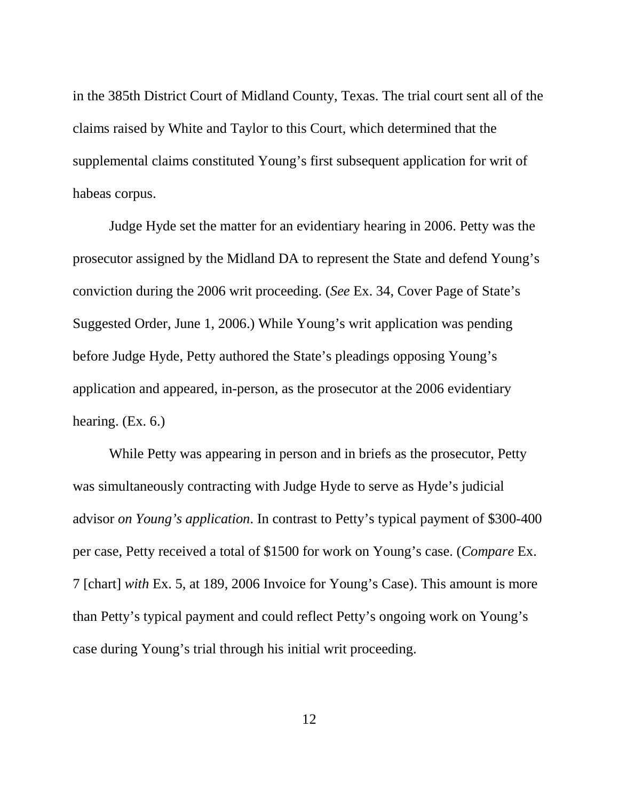in the 385th District Court of Midland County, Texas. The trial court sent all of the claims raised by White and Taylor to this Court, which determined that the supplemental claims constituted Young's first subsequent application for writ of habeas corpus.

Judge Hyde set the matter for an evidentiary hearing in 2006. Petty was the prosecutor assigned by the Midland DA to represent the State and defend Young's conviction during the 2006 writ proceeding. (*See* Ex. 34, Cover Page of State's Suggested Order, June 1, 2006.) While Young's writ application was pending before Judge Hyde, Petty authored the State's pleadings opposing Young's application and appeared, in-person, as the prosecutor at the 2006 evidentiary hearing. (Ex. 6.)

While Petty was appearing in person and in briefs as the prosecutor, Petty was simultaneously contracting with Judge Hyde to serve as Hyde's judicial advisor *on Young's application*. In contrast to Petty's typical payment of \$300-400 per case, Petty received a total of \$1500 for work on Young's case. (*Compare* Ex. 7 [chart] *with* Ex. 5, at 189, 2006 Invoice for Young's Case). This amount is more than Petty's typical payment and could reflect Petty's ongoing work on Young's case during Young's trial through his initial writ proceeding.

12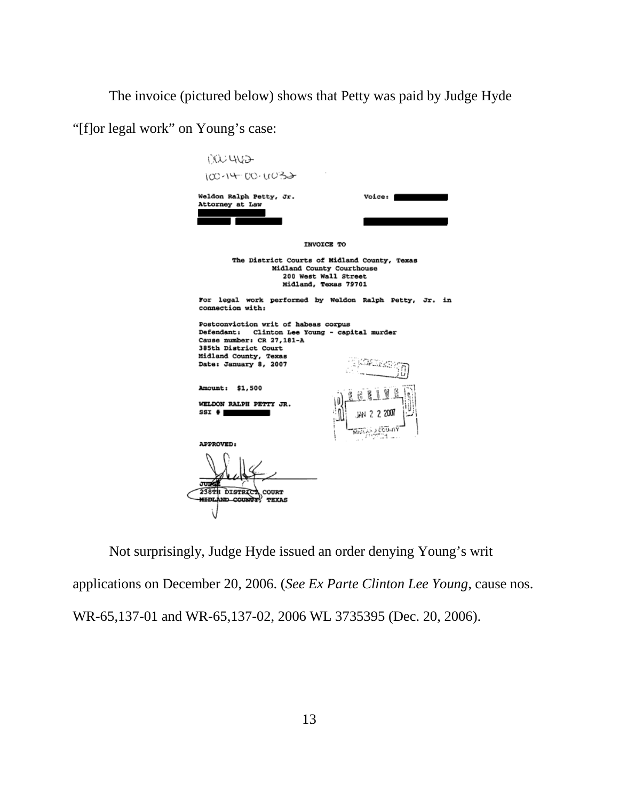The invoice (pictured below) shows that Petty was paid by Judge Hyde

"[f]or legal work" on Young's case:

| 000 YOO                                                                                                                                                                                       |                                                                                                                           |
|-----------------------------------------------------------------------------------------------------------------------------------------------------------------------------------------------|---------------------------------------------------------------------------------------------------------------------------|
| 100-14-00-0032                                                                                                                                                                                |                                                                                                                           |
| Weldon Ralph Petty, Jr.<br>Attorney at Law                                                                                                                                                    | <b>Voice:</b>                                                                                                             |
|                                                                                                                                                                                               |                                                                                                                           |
|                                                                                                                                                                                               | <b>INVOICE TO</b>                                                                                                         |
|                                                                                                                                                                                               | The District Courts of Midland County, Texas<br>Midland County Courthouse<br>200 West Wall Street<br>Midland, Texas 79701 |
| connection with:                                                                                                                                                                              | For legal work performed by Weldon Ralph Petty, Jr. in                                                                    |
| Postconviction writ of habeas corpus<br>Defendant: Clinton Lee Young - capital murder<br>Cause number: CR 27, 181-A<br>385th District Court<br>Midland County, Texas<br>Date: January 8, 2007 |                                                                                                                           |
| Amount: \$1,500                                                                                                                                                                               |                                                                                                                           |
| WELDON RALPH PETTY JR.<br>SSI#                                                                                                                                                                | 2007                                                                                                                      |
| <b>APPROVED:</b>                                                                                                                                                                              |                                                                                                                           |
| ாரங்<br>238TH DISTRICT COURT<br><b>MIDLAND COUNTY TEXAS</b>                                                                                                                                   |                                                                                                                           |
|                                                                                                                                                                                               |                                                                                                                           |

Not surprisingly, Judge Hyde issued an order denying Young's writ applications on December 20, 2006. (*See Ex Parte Clinton Lee Young*, cause nos. WR-65,137-01 and WR-65,137-02, 2006 WL 3735395 (Dec. 20, 2006).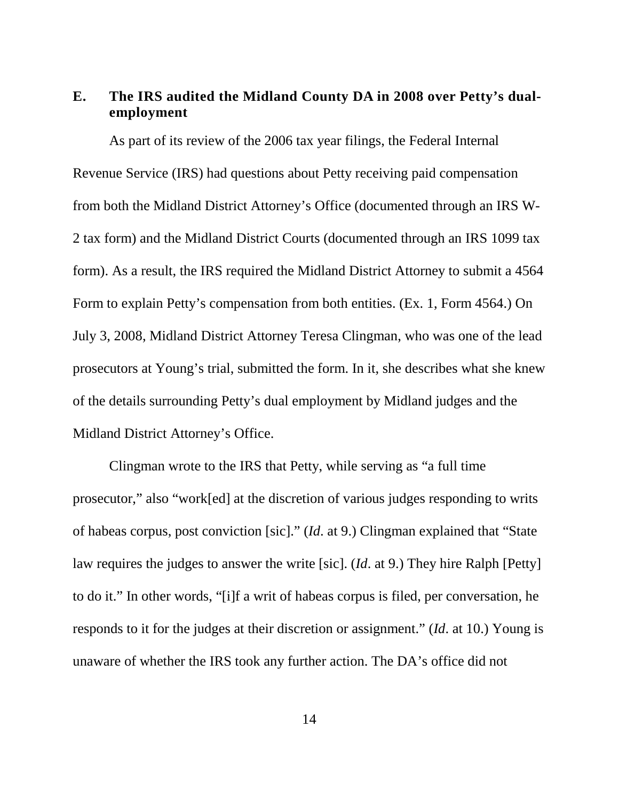### **E. The IRS audited the Midland County DA in 2008 over Petty's dualemployment**

As part of its review of the 2006 tax year filings, the Federal Internal Revenue Service (IRS) had questions about Petty receiving paid compensation from both the Midland District Attorney's Office (documented through an IRS W-2 tax form) and the Midland District Courts (documented through an IRS 1099 tax form). As a result, the IRS required the Midland District Attorney to submit a 4564 Form to explain Petty's compensation from both entities. (Ex. 1, Form 4564.) On July 3, 2008, Midland District Attorney Teresa Clingman, who was one of the lead prosecutors at Young's trial, submitted the form. In it, she describes what she knew of the details surrounding Petty's dual employment by Midland judges and the Midland District Attorney's Office.

Clingman wrote to the IRS that Petty, while serving as "a full time prosecutor," also "work[ed] at the discretion of various judges responding to writs of habeas corpus, post conviction [sic]." (*Id*. at 9.) Clingman explained that "State law requires the judges to answer the write [sic]. (*Id*. at 9.) They hire Ralph [Petty] to do it." In other words, "[i]f a writ of habeas corpus is filed, per conversation, he responds to it for the judges at their discretion or assignment." (*Id*. at 10.) Young is unaware of whether the IRS took any further action. The DA's office did not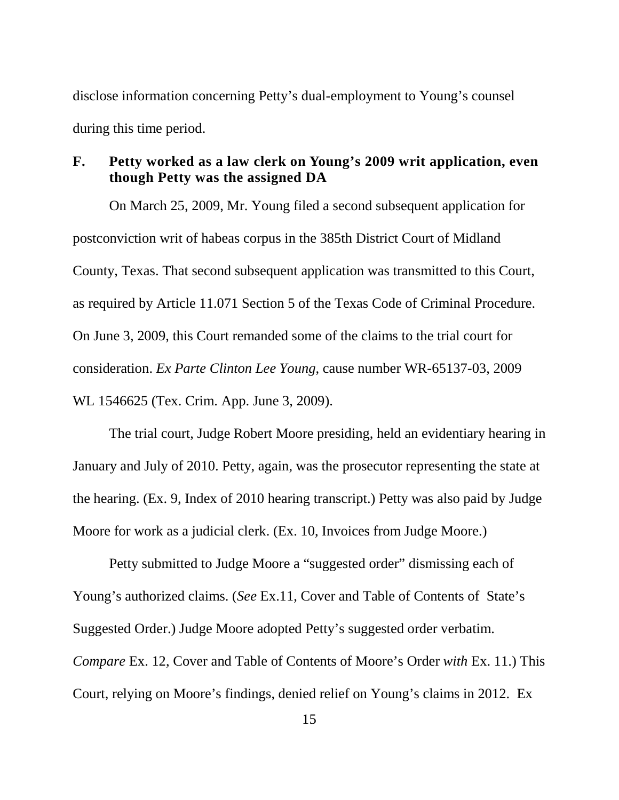disclose information concerning Petty's dual-employment to Young's counsel during this time period.

#### **F. Petty worked as a law clerk on Young's 2009 writ application, even though Petty was the assigned DA**

<span id="page-21-1"></span>On March 25, 2009, Mr. Young filed a second subsequent application for postconviction writ of habeas corpus in the 385th District Court of Midland County, Texas. That second subsequent application was transmitted to this Court, as required by Article 11.071 Section 5 of the Texas Code of Criminal Procedure. On June 3, 2009, this Court remanded some of the claims to the trial court for consideration. *Ex Parte Clinton Lee Young*, cause number WR-65137-03, 2009 WL 1546625 (Tex. Crim. App. June 3, 2009).

<span id="page-21-0"></span>The trial court, Judge Robert Moore presiding, held an evidentiary hearing in January and July of 2010. Petty, again, was the prosecutor representing the state at the hearing. (Ex. 9, Index of 2010 hearing transcript.) Petty was also paid by Judge Moore for work as a judicial clerk. (Ex. 10, Invoices from Judge Moore.)

Petty submitted to Judge Moore a "suggested order" dismissing each of Young's authorized claims. (*See* Ex.11, Cover and Table of Contents of State's Suggested Order.) Judge Moore adopted Petty's suggested order verbatim. *Compare* Ex. 12, Cover and Table of Contents of Moore's Order *with* Ex. 11.) This Court, relying on Moore's findings, denied relief on Young's claims in 2012. Ex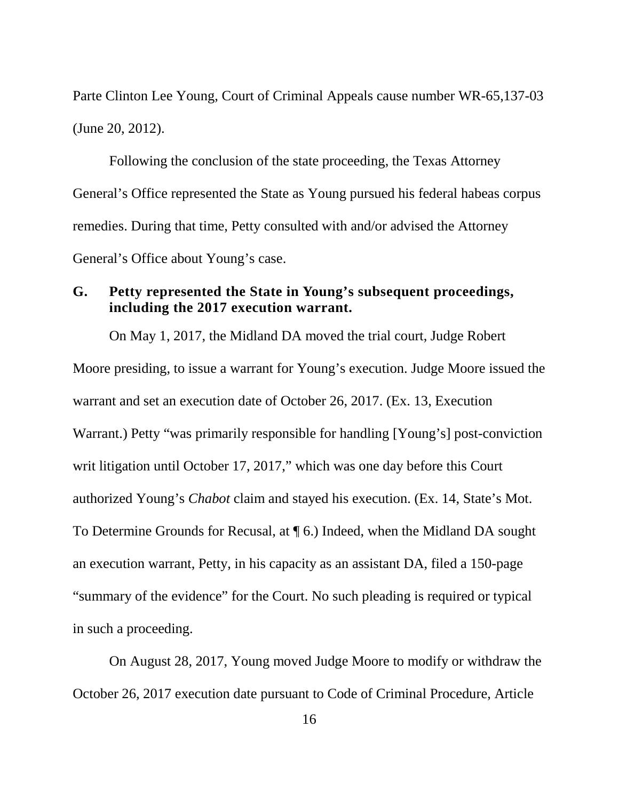Parte Clinton Lee Young, Court of Criminal Appeals cause number WR-65,137-03 (June 20, 2012).

Following the conclusion of the state proceeding, the Texas Attorney General's Office represented the State as Young pursued his federal habeas corpus remedies. During that time, Petty consulted with and/or advised the Attorney General's Office about Young's case.

#### **G. Petty represented the State in Young's subsequent proceedings, including the 2017 execution warrant.**

On May 1, 2017, the Midland DA moved the trial court, Judge Robert Moore presiding, to issue a warrant for Young's execution. Judge Moore issued the warrant and set an execution date of October 26, 2017. (Ex. 13, Execution Warrant.) Petty "was primarily responsible for handling [Young's] post-conviction writ litigation until October 17, 2017," which was one day before this Court authorized Young's *Chabot* claim and stayed his execution. (Ex. 14, State's Mot. To Determine Grounds for Recusal, at ¶ 6.) Indeed, when the Midland DA sought an execution warrant, Petty, in his capacity as an assistant DA, filed a 150-page "summary of the evidence" for the Court. No such pleading is required or typical in such a proceeding.

On August 28, 2017, Young moved Judge Moore to modify or withdraw the October 26, 2017 execution date pursuant to Code of Criminal Procedure, Article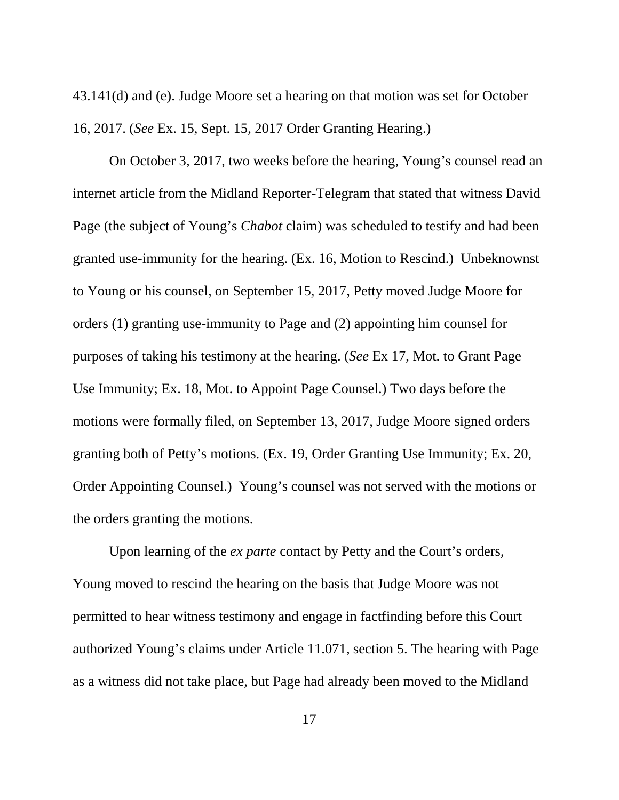43.141(d) and (e). Judge Moore set a hearing on that motion was set for October 16, 2017. (*See* Ex. 15, Sept. 15, 2017 Order Granting Hearing.)

On October 3, 2017, two weeks before the hearing, Young's counsel read an internet article from the Midland Reporter-Telegram that stated that witness David Page (the subject of Young's *Chabot* claim) was scheduled to testify and had been granted use-immunity for the hearing. (Ex. 16, Motion to Rescind.) Unbeknownst to Young or his counsel, on September 15, 2017, Petty moved Judge Moore for orders (1) granting use-immunity to Page and (2) appointing him counsel for purposes of taking his testimony at the hearing. (*See* Ex 17, Mot. to Grant Page Use Immunity; Ex. 18, Mot. to Appoint Page Counsel.) Two days before the motions were formally filed, on September 13, 2017, Judge Moore signed orders granting both of Petty's motions. (Ex. 19, Order Granting Use Immunity; Ex. 20, Order Appointing Counsel.) Young's counsel was not served with the motions or the orders granting the motions.

Upon learning of the *ex parte* contact by Petty and the Court's orders, Young moved to rescind the hearing on the basis that Judge Moore was not permitted to hear witness testimony and engage in factfinding before this Court authorized Young's claims under Article 11.071, section 5. The hearing with Page as a witness did not take place, but Page had already been moved to the Midland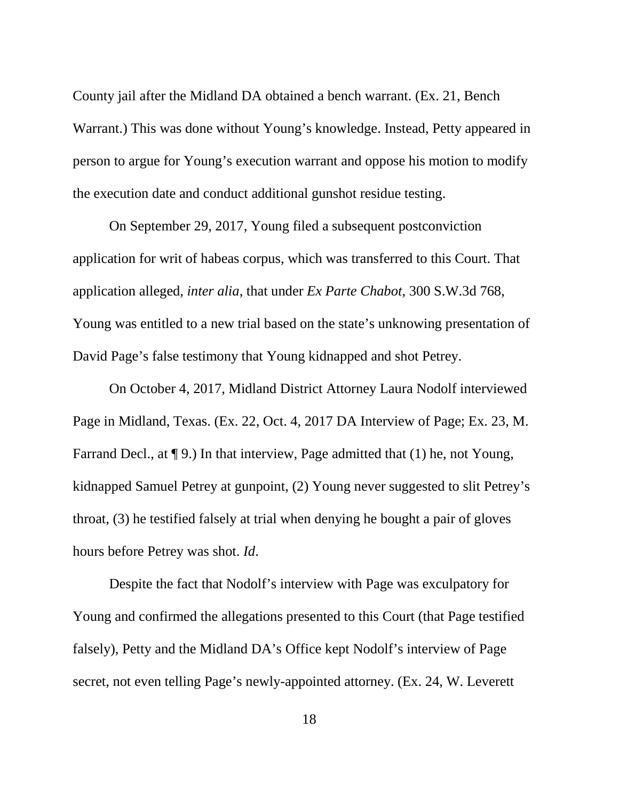County jail after the Midland DA obtained a bench warrant. (Ex. 21, Bench Warrant.) This was done without Young's knowledge. Instead, Petty appeared in person to argue for Young's execution warrant and oppose his motion to modify the execution date and conduct additional gunshot residue testing.

<span id="page-24-0"></span>On September 29, 2017, Young filed a subsequent postconviction application for writ of habeas corpus, which was transferred to this Court. That application alleged, *inter alia*, that under *Ex Parte Chabot*, 300 S.W.3d 768, Young was entitled to a new trial based on the state's unknowing presentation of David Page's false testimony that Young kidnapped and shot Petrey.

On October 4, 2017, Midland District Attorney Laura Nodolf interviewed Page in Midland, Texas. (Ex. 22, Oct. 4, 2017 DA Interview of Page; Ex. 23, M. Farrand Decl., at  $\P$  9.) In that interview, Page admitted that (1) he, not Young, kidnapped Samuel Petrey at gunpoint, (2) Young never suggested to slit Petrey's throat, (3) he testified falsely at trial when denying he bought a pair of gloves hours before Petrey was shot. *Id*.

Despite the fact that Nodolf's interview with Page was exculpatory for Young and confirmed the allegations presented to this Court (that Page testified falsely), Petty and the Midland DA's Office kept Nodolf's interview of Page secret, not even telling Page's newly-appointed attorney. (Ex. 24, W. Leverett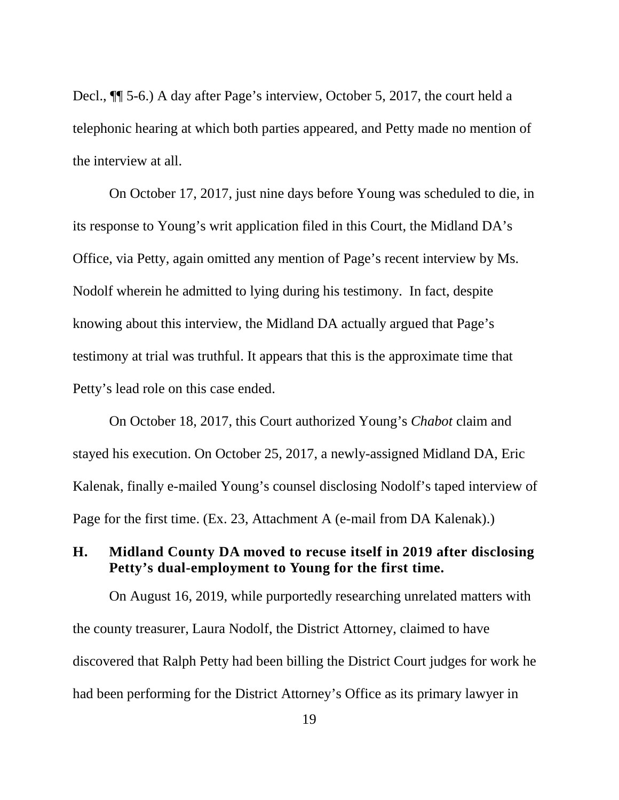Decl., ¶¶ 5-6.) A day after Page's interview, October 5, 2017, the court held a telephonic hearing at which both parties appeared, and Petty made no mention of the interview at all.

On October 17, 2017, just nine days before Young was scheduled to die, in its response to Young's writ application filed in this Court, the Midland DA's Office, via Petty, again omitted any mention of Page's recent interview by Ms. Nodolf wherein he admitted to lying during his testimony. In fact, despite knowing about this interview, the Midland DA actually argued that Page's testimony at trial was truthful. It appears that this is the approximate time that Petty's lead role on this case ended.

On October 18, 2017, this Court authorized Young's *Chabot* claim and stayed his execution. On October 25, 2017, a newly-assigned Midland DA, Eric Kalenak, finally e-mailed Young's counsel disclosing Nodolf's taped interview of Page for the first time. (Ex. 23, Attachment A (e-mail from DA Kalenak).)

#### **H. Midland County DA moved to recuse itself in 2019 after disclosing Petty's dual-employment to Young for the first time.**

On August 16, 2019, while purportedly researching unrelated matters with the county treasurer, Laura Nodolf, the District Attorney, claimed to have discovered that Ralph Petty had been billing the District Court judges for work he had been performing for the District Attorney's Office as its primary lawyer in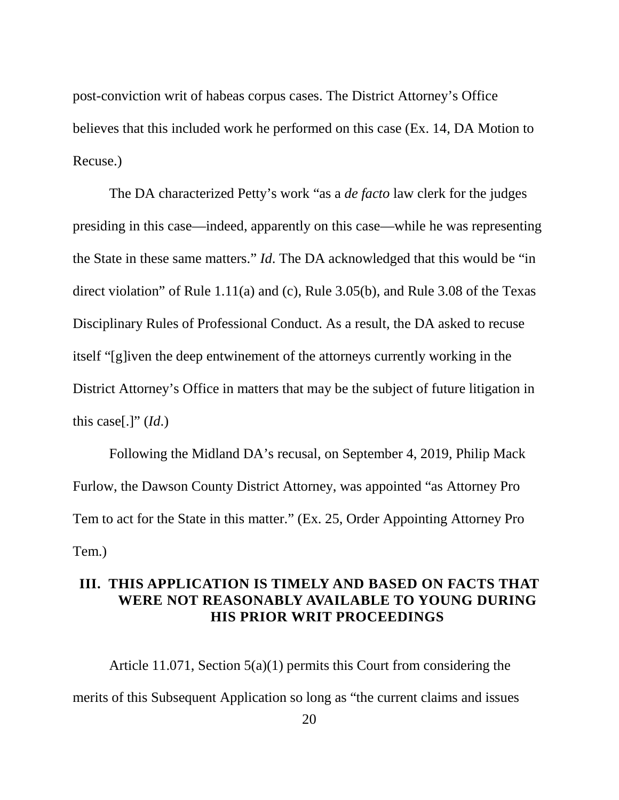post-conviction writ of habeas corpus cases. The District Attorney's Office believes that this included work he performed on this case (Ex. 14, DA Motion to Recuse.)

<span id="page-26-2"></span><span id="page-26-1"></span><span id="page-26-0"></span>The DA characterized Petty's work "as a *de facto* law clerk for the judges presiding in this case—indeed, apparently on this case—while he was representing the State in these same matters." *Id*. The DA acknowledged that this would be "in direct violation" of Rule 1.11(a) and (c), Rule 3.05(b), and Rule 3.08 of the Texas Disciplinary Rules of Professional Conduct. As a result, the DA asked to recuse itself "[g]iven the deep entwinement of the attorneys currently working in the District Attorney's Office in matters that may be the subject of future litigation in this case[.]" (*Id*.)

<span id="page-26-3"></span>Following the Midland DA's recusal, on September 4, 2019, Philip Mack Furlow, the Dawson County District Attorney, was appointed "as Attorney Pro Tem to act for the State in this matter." (Ex. 25, Order Appointing Attorney Pro Tem.)

#### **III. THIS APPLICATION IS TIMELY AND BASED ON FACTS THAT WERE NOT REASONABLY AVAILABLE TO YOUNG DURING HIS PRIOR WRIT PROCEEDINGS**

Article 11.071, Section 5(a)(1) permits this Court from considering the merits of this Subsequent Application so long as "the current claims and issues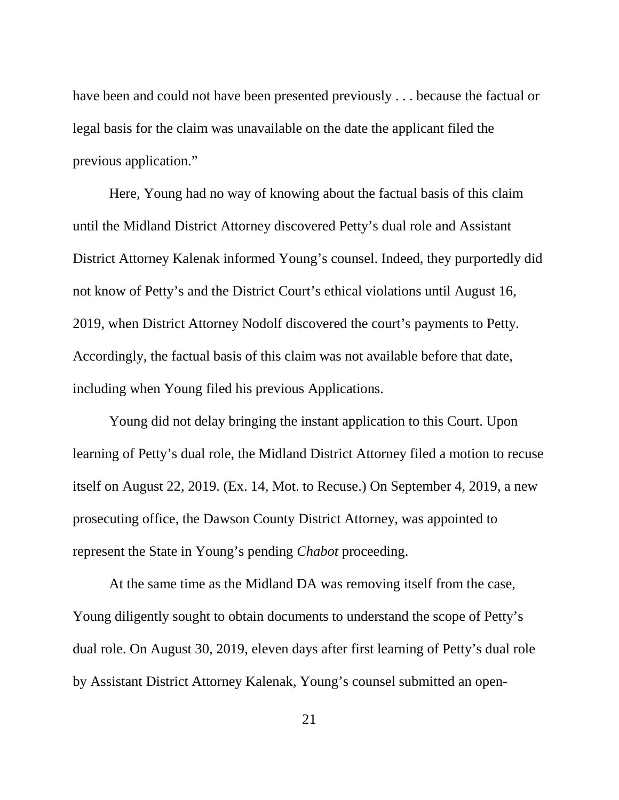have been and could not have been presented previously . . . because the factual or legal basis for the claim was unavailable on the date the applicant filed the previous application."

Here, Young had no way of knowing about the factual basis of this claim until the Midland District Attorney discovered Petty's dual role and Assistant District Attorney Kalenak informed Young's counsel. Indeed, they purportedly did not know of Petty's and the District Court's ethical violations until August 16, 2019, when District Attorney Nodolf discovered the court's payments to Petty. Accordingly, the factual basis of this claim was not available before that date, including when Young filed his previous Applications.

Young did not delay bringing the instant application to this Court. Upon learning of Petty's dual role, the Midland District Attorney filed a motion to recuse itself on August 22, 2019. (Ex. 14, Mot. to Recuse.) On September 4, 2019, a new prosecuting office, the Dawson County District Attorney, was appointed to represent the State in Young's pending *Chabot* proceeding.

At the same time as the Midland DA was removing itself from the case, Young diligently sought to obtain documents to understand the scope of Petty's dual role. On August 30, 2019, eleven days after first learning of Petty's dual role by Assistant District Attorney Kalenak, Young's counsel submitted an open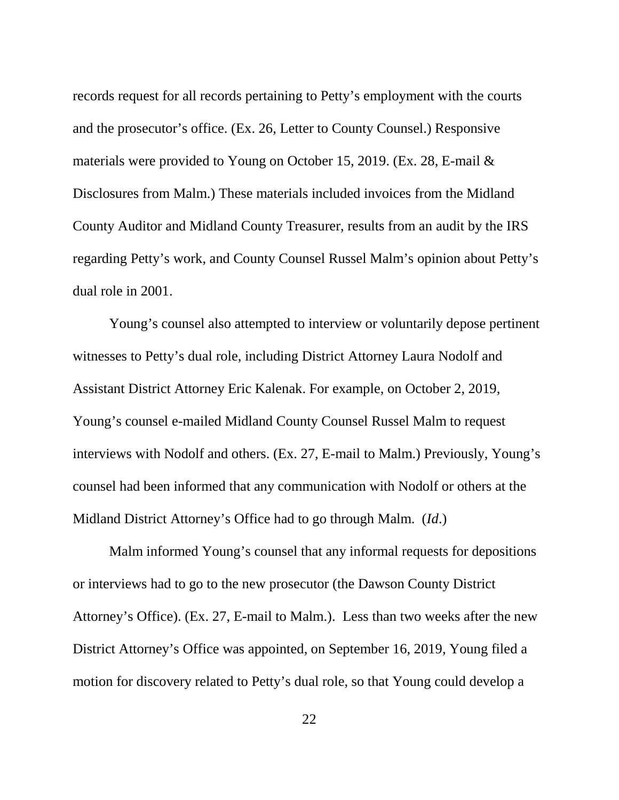records request for all records pertaining to Petty's employment with the courts and the prosecutor's office. (Ex. 26, Letter to County Counsel.) Responsive materials were provided to Young on October 15, 2019. (Ex. 28, E-mail & Disclosures from Malm.) These materials included invoices from the Midland County Auditor and Midland County Treasurer, results from an audit by the IRS regarding Petty's work, and County Counsel Russel Malm's opinion about Petty's dual role in 2001.

Young's counsel also attempted to interview or voluntarily depose pertinent witnesses to Petty's dual role, including District Attorney Laura Nodolf and Assistant District Attorney Eric Kalenak. For example, on October 2, 2019, Young's counsel e-mailed Midland County Counsel Russel Malm to request interviews with Nodolf and others. (Ex. 27, E-mail to Malm.) Previously, Young's counsel had been informed that any communication with Nodolf or others at the Midland District Attorney's Office had to go through Malm. (*Id*.)

Malm informed Young's counsel that any informal requests for depositions or interviews had to go to the new prosecutor (the Dawson County District Attorney's Office). (Ex. 27, E-mail to Malm.). Less than two weeks after the new District Attorney's Office was appointed, on September 16, 2019, Young filed a motion for discovery related to Petty's dual role, so that Young could develop a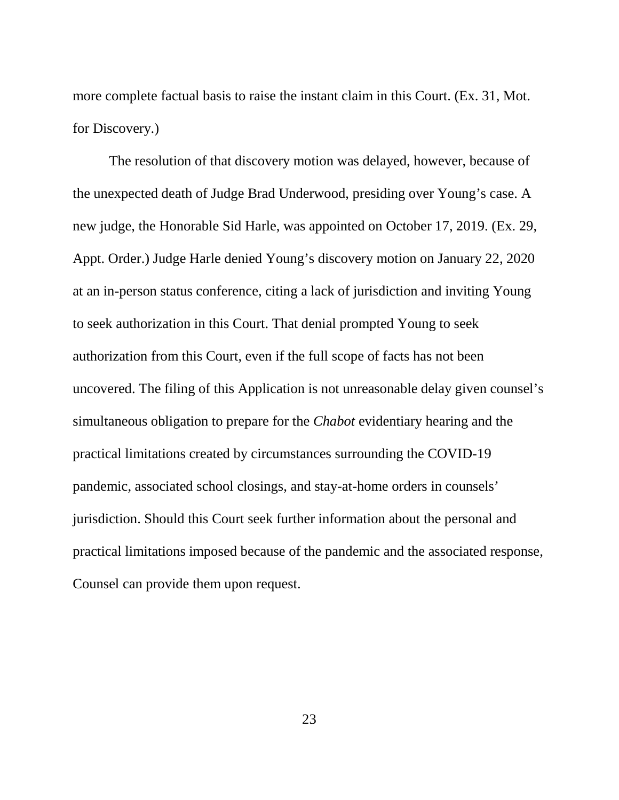more complete factual basis to raise the instant claim in this Court. (Ex. 31, Mot. for Discovery.)

The resolution of that discovery motion was delayed, however, because of the unexpected death of Judge Brad Underwood, presiding over Young's case. A new judge, the Honorable Sid Harle, was appointed on October 17, 2019. (Ex. 29, Appt. Order.) Judge Harle denied Young's discovery motion on January 22, 2020 at an in-person status conference, citing a lack of jurisdiction and inviting Young to seek authorization in this Court. That denial prompted Young to seek authorization from this Court, even if the full scope of facts has not been uncovered. The filing of this Application is not unreasonable delay given counsel's simultaneous obligation to prepare for the *Chabot* evidentiary hearing and the practical limitations created by circumstances surrounding the COVID-19 pandemic, associated school closings, and stay-at-home orders in counsels' jurisdiction. Should this Court seek further information about the personal and practical limitations imposed because of the pandemic and the associated response, Counsel can provide them upon request.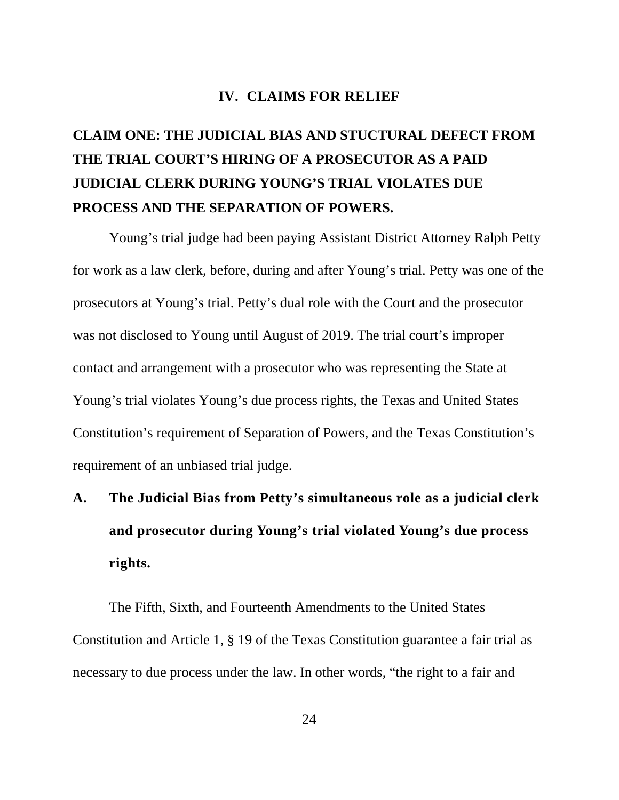#### **IV. CLAIMS FOR RELIEF**

# **CLAIM ONE: THE JUDICIAL BIAS AND STUCTURAL DEFECT FROM THE TRIAL COURT'S HIRING OF A PROSECUTOR AS A PAID JUDICIAL CLERK DURING YOUNG'S TRIAL VIOLATES DUE PROCESS AND THE SEPARATION OF POWERS.**

Young's trial judge had been paying Assistant District Attorney Ralph Petty for work as a law clerk, before, during and after Young's trial. Petty was one of the prosecutors at Young's trial. Petty's dual role with the Court and the prosecutor was not disclosed to Young until August of 2019. The trial court's improper contact and arrangement with a prosecutor who was representing the State at Young's trial violates Young's due process rights, the Texas and United States Constitution's requirement of Separation of Powers, and the Texas Constitution's requirement of an unbiased trial judge.

# **A. The Judicial Bias from Petty's simultaneous role as a judicial clerk and prosecutor during Young's trial violated Young's due process rights.**

<span id="page-30-1"></span><span id="page-30-0"></span>The Fifth, Sixth, and Fourteenth Amendments to the United States Constitution and Article 1, § 19 of the Texas Constitution guarantee a fair trial as necessary to due process under the law. In other words, "the right to a fair and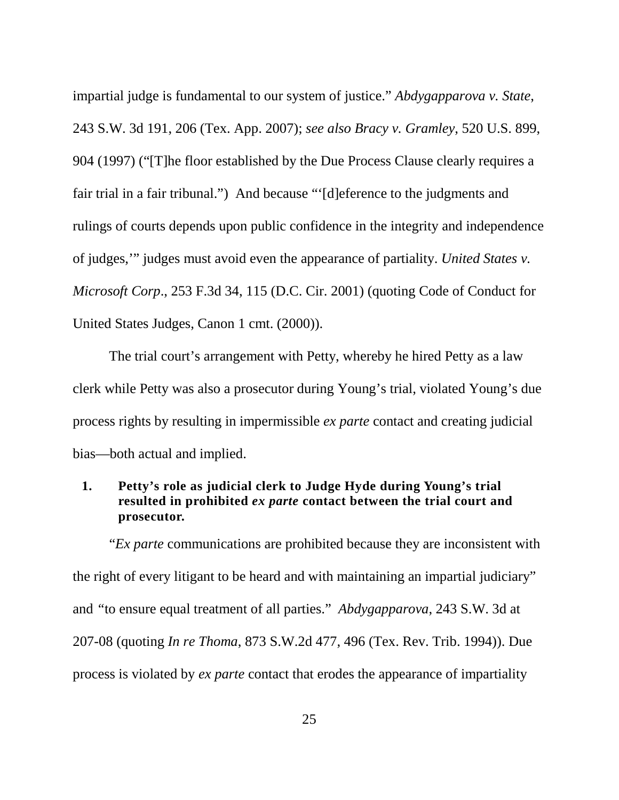<span id="page-31-0"></span>impartial judge is fundamental to our system of justice." *Abdygapparova v. State*, 243 S.W. 3d 191, 206 (Tex. App. 2007); *see also Bracy v. Gramley*, 520 U.S. 899, 904 (1997) ("[T]he floor established by the Due Process Clause clearly requires a fair trial in a fair tribunal.") And because "'[d]eference to the judgments and rulings of courts depends upon public confidence in the integrity and independence of judges,'" judges must avoid even the appearance of partiality. *United States v. Microsoft Corp*., 253 F.3d 34, 115 (D.C. Cir. 2001) (quoting Code of Conduct for United States Judges, Canon 1 cmt. (2000)).

<span id="page-31-1"></span>The trial court's arrangement with Petty, whereby he hired Petty as a law clerk while Petty was also a prosecutor during Young's trial, violated Young's due process rights by resulting in impermissible *ex parte* contact and creating judicial bias—both actual and implied.

#### **1. Petty's role as judicial clerk to Judge Hyde during Young's trial resulted in prohibited** *ex parte* **contact between the trial court and prosecutor.**

<span id="page-31-2"></span>"*Ex parte* communications are prohibited because they are inconsistent with the right of every litigant to be heard and with maintaining an impartial judiciary" and *"*to ensure equal treatment of all parties." *Abdygapparova*, 243 S.W. 3d at 207-08 (quoting *In re Thoma*, 873 S.W.2d 477, 496 (Tex. Rev. Trib. 1994)). Due process is violated by *ex parte* contact that erodes the appearance of impartiality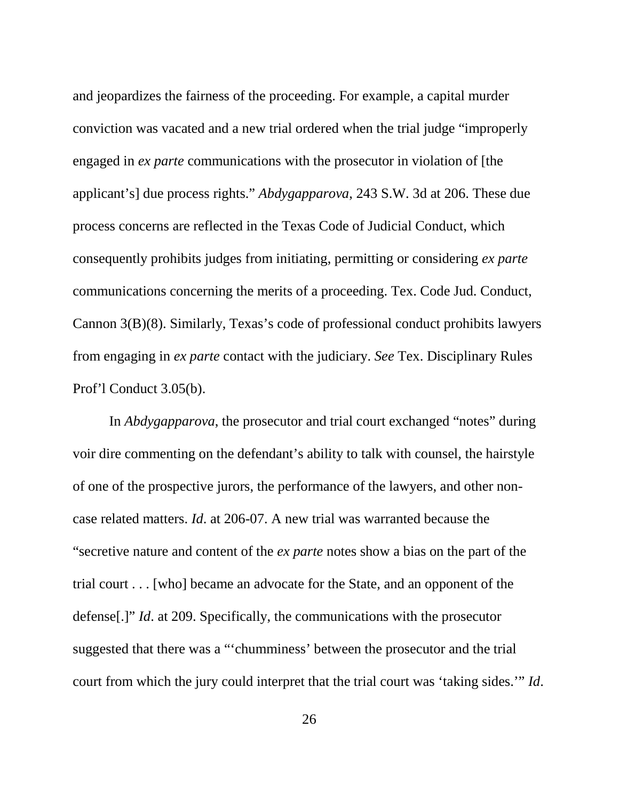and jeopardizes the fairness of the proceeding. For example, a capital murder conviction was vacated and a new trial ordered when the trial judge "improperly engaged in *ex parte* communications with the prosecutor in violation of [the applicant's] due process rights." *Abdygapparova*, 243 S.W. 3d at 206. These due process concerns are reflected in the Texas Code of Judicial Conduct, which consequently prohibits judges from initiating, permitting or considering *ex parte* communications concerning the merits of a proceeding. Tex. Code Jud. Conduct, Cannon 3(B)(8). Similarly, Texas's code of professional conduct prohibits lawyers from engaging in *ex parte* contact with the judiciary. *See* Tex. Disciplinary Rules Prof'l Conduct 3.05(b).

In *Abdygapparova*, the prosecutor and trial court exchanged "notes" during voir dire commenting on the defendant's ability to talk with counsel, the hairstyle of one of the prospective jurors, the performance of the lawyers, and other noncase related matters. *Id*. at 206-07. A new trial was warranted because the "secretive nature and content of the *ex parte* notes show a bias on the part of the trial court . . . [who] became an advocate for the State, and an opponent of the defense[.]" *Id*. at 209. Specifically, the communications with the prosecutor suggested that there was a "'chumminess' between the prosecutor and the trial court from which the jury could interpret that the trial court was 'taking sides.'" *Id*.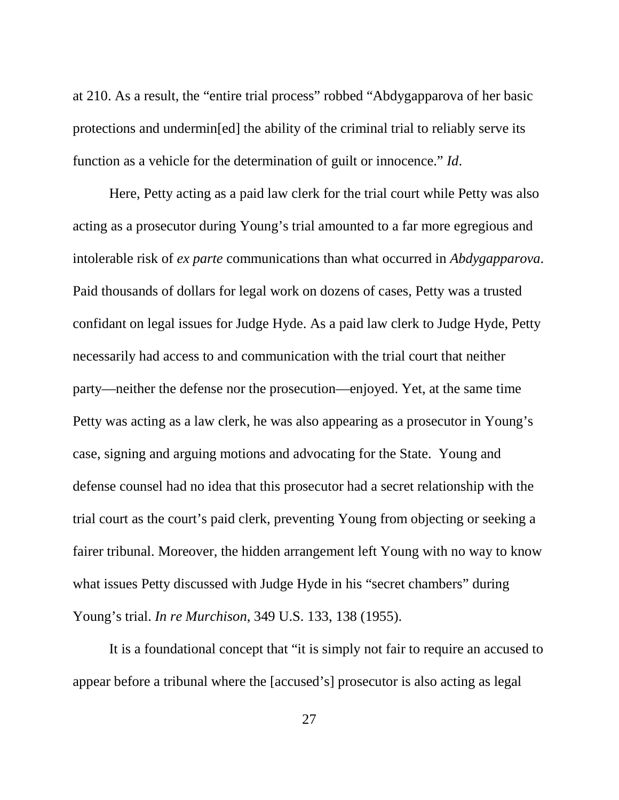at 210. As a result, the "entire trial process" robbed "Abdygapparova of her basic protections and undermin[ed] the ability of the criminal trial to reliably serve its function as a vehicle for the determination of guilt or innocence." *Id*.

Here, Petty acting as a paid law clerk for the trial court while Petty was also acting as a prosecutor during Young's trial amounted to a far more egregious and intolerable risk of *ex parte* communications than what occurred in *Abdygapparova*. Paid thousands of dollars for legal work on dozens of cases, Petty was a trusted confidant on legal issues for Judge Hyde. As a paid law clerk to Judge Hyde, Petty necessarily had access to and communication with the trial court that neither party—neither the defense nor the prosecution—enjoyed. Yet, at the same time Petty was acting as a law clerk, he was also appearing as a prosecutor in Young's case, signing and arguing motions and advocating for the State. Young and defense counsel had no idea that this prosecutor had a secret relationship with the trial court as the court's paid clerk, preventing Young from objecting or seeking a fairer tribunal. Moreover, the hidden arrangement left Young with no way to know what issues Petty discussed with Judge Hyde in his "secret chambers" during Young's trial. *In re Murchison*, 349 U.S. 133, 138 (1955).

<span id="page-33-0"></span>It is a foundational concept that "it is simply not fair to require an accused to appear before a tribunal where the [accused's] prosecutor is also acting as legal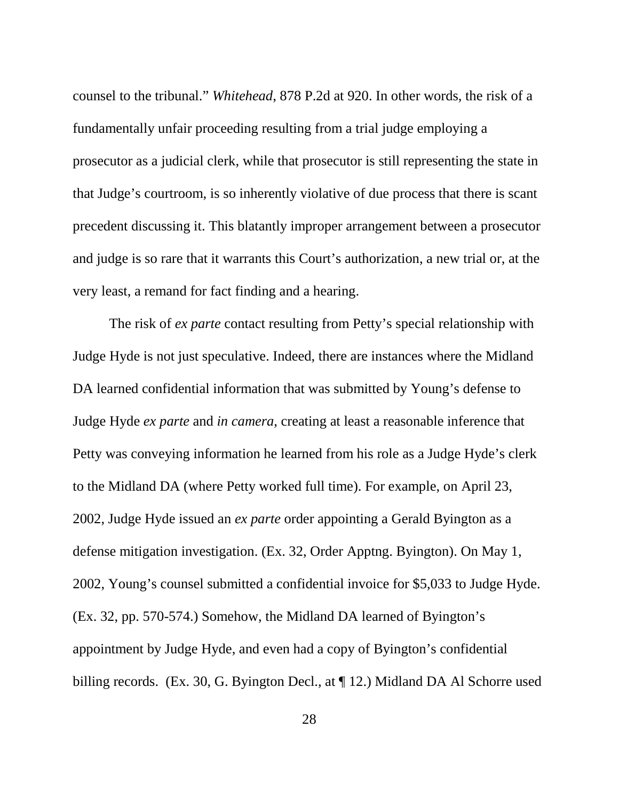counsel to the tribunal." *Whitehead*, 878 P.2d at 920. In other words, the risk of a fundamentally unfair proceeding resulting from a trial judge employing a prosecutor as a judicial clerk, while that prosecutor is still representing the state in that Judge's courtroom, is so inherently violative of due process that there is scant precedent discussing it. This blatantly improper arrangement between a prosecutor and judge is so rare that it warrants this Court's authorization, a new trial or, at the very least, a remand for fact finding and a hearing.

The risk of *ex parte* contact resulting from Petty's special relationship with Judge Hyde is not just speculative. Indeed, there are instances where the Midland DA learned confidential information that was submitted by Young's defense to Judge Hyde *ex parte* and *in camera*, creating at least a reasonable inference that Petty was conveying information he learned from his role as a Judge Hyde's clerk to the Midland DA (where Petty worked full time). For example, on April 23, 2002, Judge Hyde issued an *ex parte* order appointing a Gerald Byington as a defense mitigation investigation. (Ex. 32, Order Apptng. Byington). On May 1, 2002, Young's counsel submitted a confidential invoice for \$5,033 to Judge Hyde. (Ex. 32, pp. 570-574.) Somehow, the Midland DA learned of Byington's appointment by Judge Hyde, and even had a copy of Byington's confidential billing records. (Ex. 30, G. Byington Decl., at  $\P$  12.) Midland DA Al Schorre used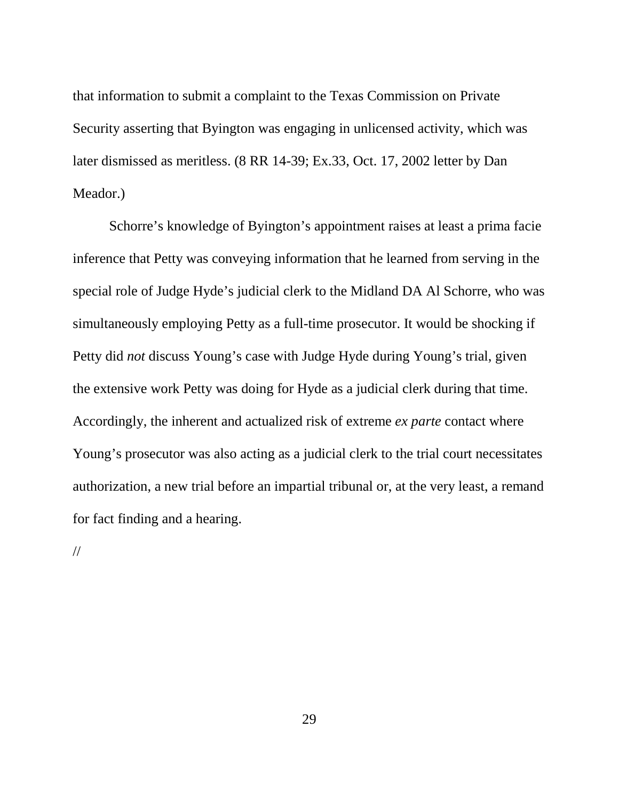that information to submit a complaint to the Texas Commission on Private Security asserting that Byington was engaging in unlicensed activity, which was later dismissed as meritless. (8 RR 14-39; Ex.33, Oct. 17, 2002 letter by Dan Meador.)

Schorre's knowledge of Byington's appointment raises at least a prima facie inference that Petty was conveying information that he learned from serving in the special role of Judge Hyde's judicial clerk to the Midland DA Al Schorre, who was simultaneously employing Petty as a full-time prosecutor. It would be shocking if Petty did *not* discuss Young's case with Judge Hyde during Young's trial, given the extensive work Petty was doing for Hyde as a judicial clerk during that time. Accordingly, the inherent and actualized risk of extreme *ex parte* contact where Young's prosecutor was also acting as a judicial clerk to the trial court necessitates authorization, a new trial before an impartial tribunal or, at the very least, a remand for fact finding and a hearing.

//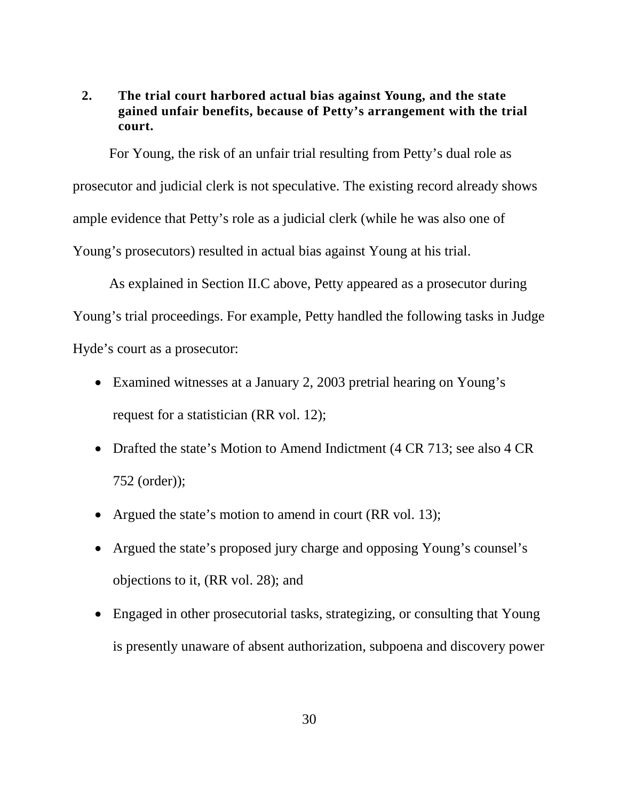#### **2. The trial court harbored actual bias against Young, and the state gained unfair benefits, because of Petty's arrangement with the trial court.**

For Young, the risk of an unfair trial resulting from Petty's dual role as prosecutor and judicial clerk is not speculative. The existing record already shows ample evidence that Petty's role as a judicial clerk (while he was also one of Young's prosecutors) resulted in actual bias against Young at his trial.

As explained in Section II.C above, Petty appeared as a prosecutor during Young's trial proceedings. For example, Petty handled the following tasks in Judge Hyde's court as a prosecutor:

- Examined witnesses at a January 2, 2003 pretrial hearing on Young's request for a statistician (RR vol. 12);
- Drafted the state's Motion to Amend Indictment (4 CR 713; see also 4 CR 752 (order));
- Argued the state's motion to amend in court (RR vol. 13);
- Argued the state's proposed jury charge and opposing Young's counsel's objections to it, (RR vol. 28); and
- Engaged in other prosecutorial tasks, strategizing, or consulting that Young is presently unaware of absent authorization, subpoena and discovery power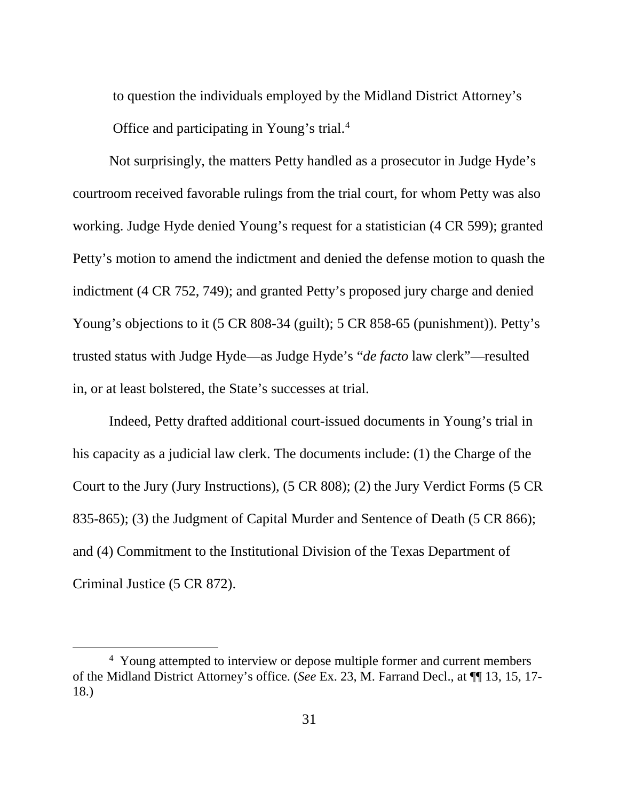to question the individuals employed by the Midland District Attorney's Office and participating in Young's trial.[4](#page-37-0)

Not surprisingly, the matters Petty handled as a prosecutor in Judge Hyde's courtroom received favorable rulings from the trial court, for whom Petty was also working. Judge Hyde denied Young's request for a statistician (4 CR 599); granted Petty's motion to amend the indictment and denied the defense motion to quash the indictment (4 CR 752, 749); and granted Petty's proposed jury charge and denied Young's objections to it (5 CR 808-34 (guilt); 5 CR 858-65 (punishment)). Petty's trusted status with Judge Hyde—as Judge Hyde's "*de facto* law clerk"—resulted in, or at least bolstered, the State's successes at trial.

Indeed, Petty drafted additional court-issued documents in Young's trial in his capacity as a judicial law clerk. The documents include: (1) the Charge of the Court to the Jury (Jury Instructions), (5 CR 808); (2) the Jury Verdict Forms (5 CR 835-865); (3) the Judgment of Capital Murder and Sentence of Death (5 CR 866); and (4) Commitment to the Institutional Division of the Texas Department of Criminal Justice (5 CR 872).

<span id="page-37-0"></span> $\frac{1}{4}$ <sup>4</sup> Young attempted to interview or depose multiple former and current members of the Midland District Attorney's office. (*See* Ex. 23, M. Farrand Decl., at ¶¶ 13, 15, 17- 18.)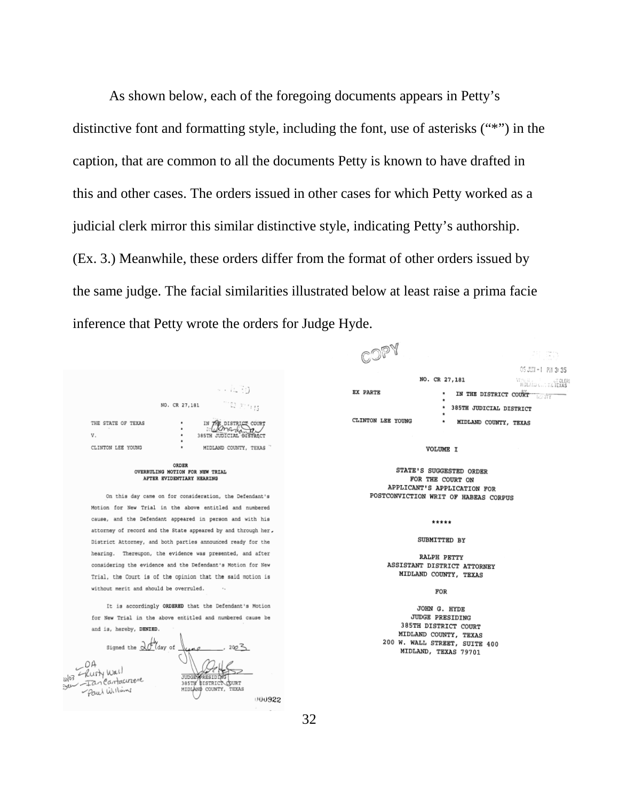As shown below, each of the foregoing documents appears in Petty's distinctive font and formatting style, including the font, use of asterisks ("\*") in the caption, that are common to all the documents Petty is known to have drafted in this and other cases. The orders issued in other cases for which Petty worked as a judicial clerk mirror this similar distinctive style, indicating Petty's authorship. (Ex. 3.) Meanwhile, these orders differ from the format of other orders issued by the same judge. The facial similarities illustrated below at least raise a prima facie inference that Petty wrote the orders for Judge Hyde.

|                                                                       | - - 15.30<br>missi et rinns<br>NO. CR 27,181                                           |  |  |
|-----------------------------------------------------------------------|----------------------------------------------------------------------------------------|--|--|
| THE STATE OF TEXAS<br>V.<br>CLINTON LEE YOUNG                         | DISTRICT COURT<br>٠<br>385TH JUDICIAL BISTRACT<br>٠<br>۰<br>MIDLAND COUNTY, TEXAS<br>۰ |  |  |
| ORDER<br>OVERRULING MOTION FOR NEW TRIAL<br>AFTER EVIDENTIARY HEARING |                                                                                        |  |  |
|                                                                       | On this day came on for consideration, the Defendant's                                 |  |  |
|                                                                       | Motion for New Trial in the above entitled and numbered                                |  |  |

cause, and the Defendant appeared in person and with his attorney of record and the State appeared by and through her. District Attorney, and both parties announced ready for the hearing. Thereupon, the evidence was presented, and after considering the evidence and the Defendant's Motion for New Trial, the Court is of the opinion that the said motion is without merit and should be overruled.

It is accordingly ORDERED that the Defendant's Motion for New Trial in the above entitled and numbered cause be and is, hereby, DENIED.



2月 (雪) 05 JUNI - 1 PH 3:35 NO. CR 27,181 VENGHALD CLOTH ST CLER<br>MSLAID CLOTH TEXAS **EX PARTE** IN THE DISTRICT COURT 385TH JUDICIAL DISTRICT CLINTON LEE YOUNG MIDLAND COUNTY, TEXAS

VOLUME I

STATE'S SUGGESTED ORDER FOR THE COURT ON APPLICANT'S APPLICATION FOR POSTCONVICTION WRIT OF HABEAS CORPUS

#### $.........$

#### SUBMITTED BY

#### RALPH PETTY ASSISTANT DISTRICT ATTORNEY MIDLAND COUNTY, TEXAS

#### FOR

JOHN G. HYDE **JUDGE PRESIDING** 385TH DISTRICT COURT MIDLAND COUNTY, TEXAS 200 W. WALL STREET, SUITE 400 MIDLAND, TEXAS 79701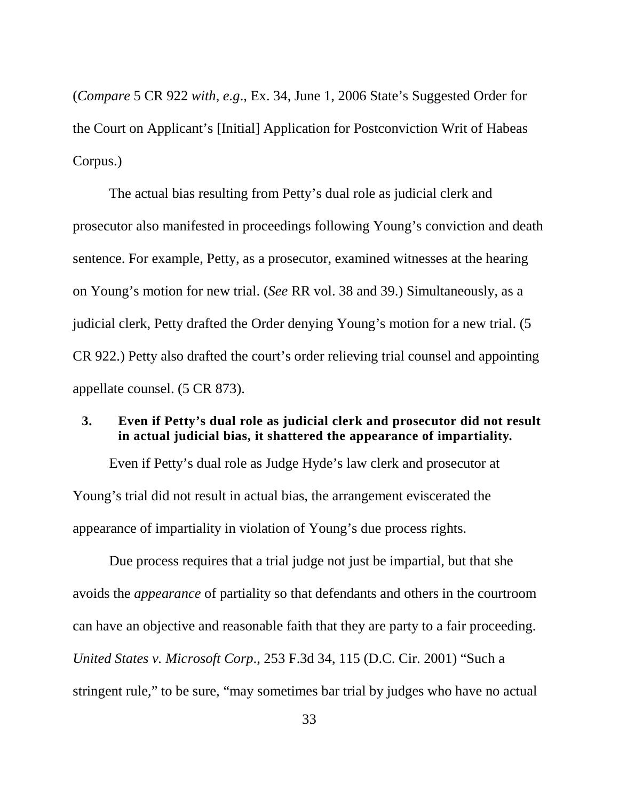(*Compare* 5 CR 922 *with, e.g*., Ex. 34, June 1, 2006 State's Suggested Order for the Court on Applicant's [Initial] Application for Postconviction Writ of Habeas Corpus.)

The actual bias resulting from Petty's dual role as judicial clerk and prosecutor also manifested in proceedings following Young's conviction and death sentence. For example, Petty, as a prosecutor, examined witnesses at the hearing on Young's motion for new trial. (*See* RR vol. 38 and 39.) Simultaneously, as a judicial clerk, Petty drafted the Order denying Young's motion for a new trial. (5 CR 922.) Petty also drafted the court's order relieving trial counsel and appointing appellate counsel. (5 CR 873).

#### **3. Even if Petty's dual role as judicial clerk and prosecutor did not result in actual judicial bias, it shattered the appearance of impartiality.**

Even if Petty's dual role as Judge Hyde's law clerk and prosecutor at Young's trial did not result in actual bias, the arrangement eviscerated the appearance of impartiality in violation of Young's due process rights.

<span id="page-39-0"></span>Due process requires that a trial judge not just be impartial, but that she avoids the *appearance* of partiality so that defendants and others in the courtroom can have an objective and reasonable faith that they are party to a fair proceeding. *United States v. Microsoft Corp*., 253 F.3d 34, 115 (D.C. Cir. 2001) "Such a stringent rule," to be sure, "may sometimes bar trial by judges who have no actual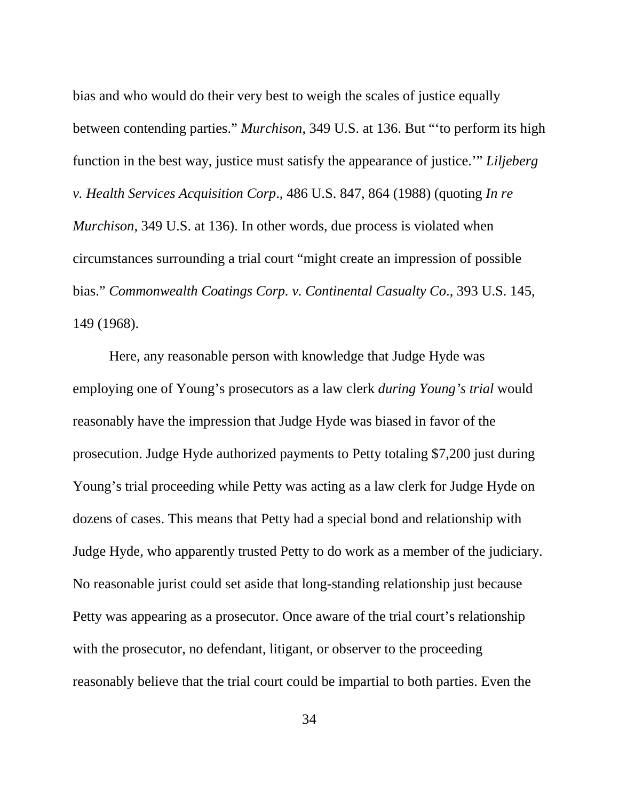<span id="page-40-2"></span><span id="page-40-1"></span>bias and who would do their very best to weigh the scales of justice equally between contending parties." *Murchison*, 349 U.S. at 136. But "'to perform its high function in the best way, justice must satisfy the appearance of justice.'" *Liljeberg v. Health Services Acquisition Corp*., 486 U.S. 847, 864 (1988) (quoting *In re Murchison*, 349 U.S. at 136). In other words, due process is violated when circumstances surrounding a trial court "might create an impression of possible bias." *Commonwealth Coatings Corp. v. Continental Casualty Co*., 393 U.S. 145, 149 (1968).

<span id="page-40-0"></span>Here, any reasonable person with knowledge that Judge Hyde was employing one of Young's prosecutors as a law clerk *during Young's trial* would reasonably have the impression that Judge Hyde was biased in favor of the prosecution. Judge Hyde authorized payments to Petty totaling \$7,200 just during Young's trial proceeding while Petty was acting as a law clerk for Judge Hyde on dozens of cases. This means that Petty had a special bond and relationship with Judge Hyde, who apparently trusted Petty to do work as a member of the judiciary. No reasonable jurist could set aside that long-standing relationship just because Petty was appearing as a prosecutor. Once aware of the trial court's relationship with the prosecutor, no defendant, litigant, or observer to the proceeding reasonably believe that the trial court could be impartial to both parties. Even the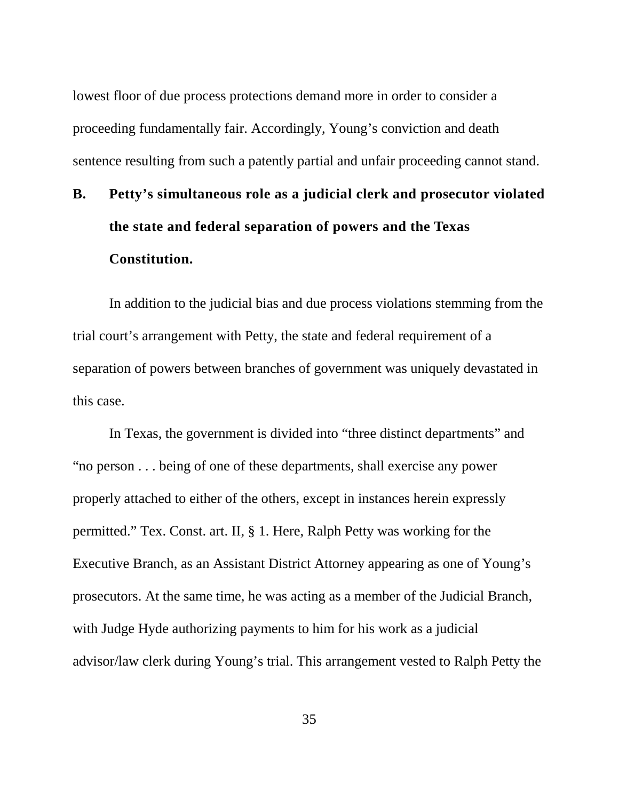lowest floor of due process protections demand more in order to consider a proceeding fundamentally fair. Accordingly, Young's conviction and death sentence resulting from such a patently partial and unfair proceeding cannot stand.

# **B. Petty's simultaneous role as a judicial clerk and prosecutor violated the state and federal separation of powers and the Texas Constitution.**

In addition to the judicial bias and due process violations stemming from the trial court's arrangement with Petty, the state and federal requirement of a separation of powers between branches of government was uniquely devastated in this case.

<span id="page-41-0"></span>In Texas, the government is divided into "three distinct departments" and "no person . . . being of one of these departments, shall exercise any power properly attached to either of the others, except in instances herein expressly permitted." Tex. Const. art. II, § 1. Here, Ralph Petty was working for the Executive Branch, as an Assistant District Attorney appearing as one of Young's prosecutors. At the same time, he was acting as a member of the Judicial Branch, with Judge Hyde authorizing payments to him for his work as a judicial advisor/law clerk during Young's trial. This arrangement vested to Ralph Petty the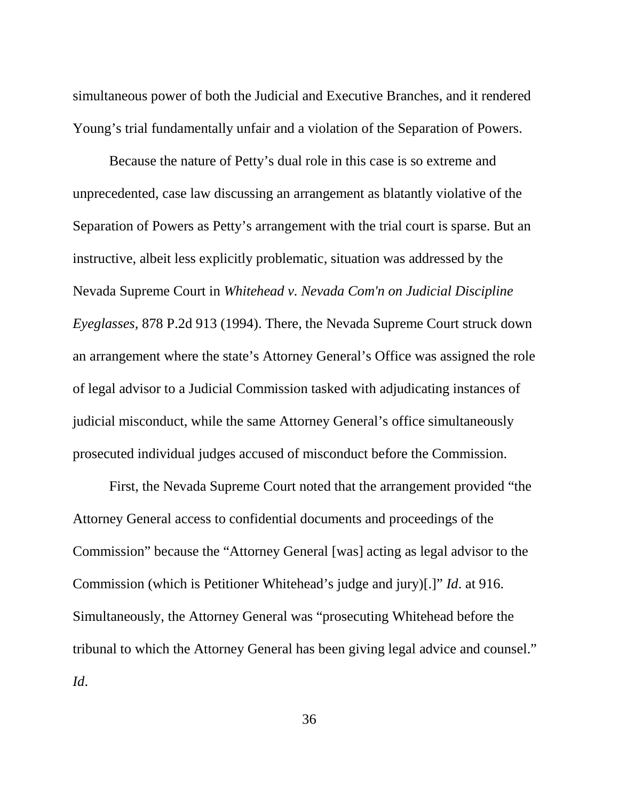simultaneous power of both the Judicial and Executive Branches, and it rendered Young's trial fundamentally unfair and a violation of the Separation of Powers.

<span id="page-42-0"></span>Because the nature of Petty's dual role in this case is so extreme and unprecedented, case law discussing an arrangement as blatantly violative of the Separation of Powers as Petty's arrangement with the trial court is sparse. But an instructive, albeit less explicitly problematic, situation was addressed by the Nevada Supreme Court in *Whitehead v. Nevada Com'n on Judicial Discipline Eyeglasses,* 878 P.2d 913 (1994). There, the Nevada Supreme Court struck down an arrangement where the state's Attorney General's Office was assigned the role of legal advisor to a Judicial Commission tasked with adjudicating instances of judicial misconduct, while the same Attorney General's office simultaneously prosecuted individual judges accused of misconduct before the Commission.

First, the Nevada Supreme Court noted that the arrangement provided "the Attorney General access to confidential documents and proceedings of the Commission" because the "Attorney General [was] acting as legal advisor to the Commission (which is Petitioner Whitehead's judge and jury)[.]" *Id*. at 916. Simultaneously, the Attorney General was "prosecuting Whitehead before the tribunal to which the Attorney General has been giving legal advice and counsel." *Id*.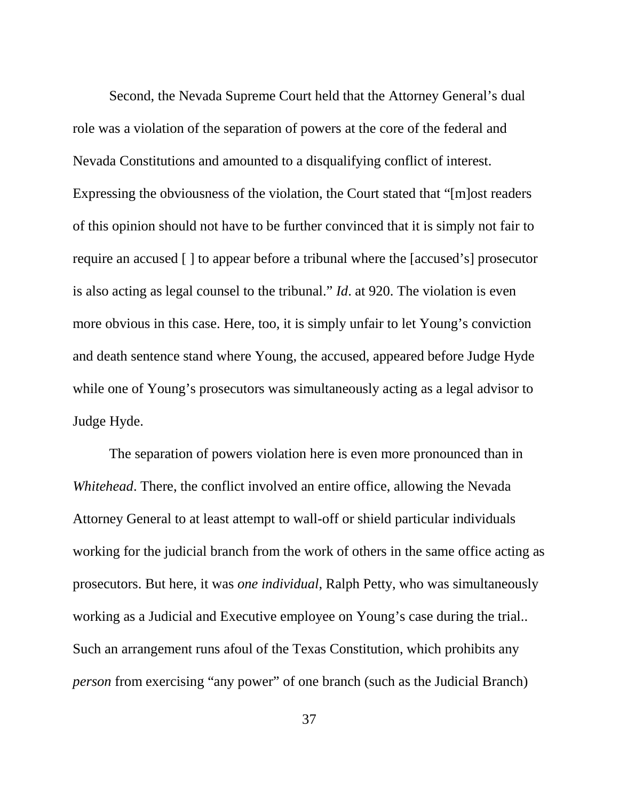Second, the Nevada Supreme Court held that the Attorney General's dual role was a violation of the separation of powers at the core of the federal and Nevada Constitutions and amounted to a disqualifying conflict of interest. Expressing the obviousness of the violation, the Court stated that "[m]ost readers of this opinion should not have to be further convinced that it is simply not fair to require an accused [ ] to appear before a tribunal where the [accused's] prosecutor is also acting as legal counsel to the tribunal." *Id*. at 920. The violation is even more obvious in this case. Here, too, it is simply unfair to let Young's conviction and death sentence stand where Young, the accused, appeared before Judge Hyde while one of Young's prosecutors was simultaneously acting as a legal advisor to Judge Hyde.

<span id="page-43-0"></span>The separation of powers violation here is even more pronounced than in *Whitehead*. There, the conflict involved an entire office, allowing the Nevada Attorney General to at least attempt to wall-off or shield particular individuals working for the judicial branch from the work of others in the same office acting as prosecutors. But here, it was *one individual*, Ralph Petty, who was simultaneously working as a Judicial and Executive employee on Young's case during the trial.. Such an arrangement runs afoul of the Texas Constitution, which prohibits any *person* from exercising "any power" of one branch (such as the Judicial Branch)

37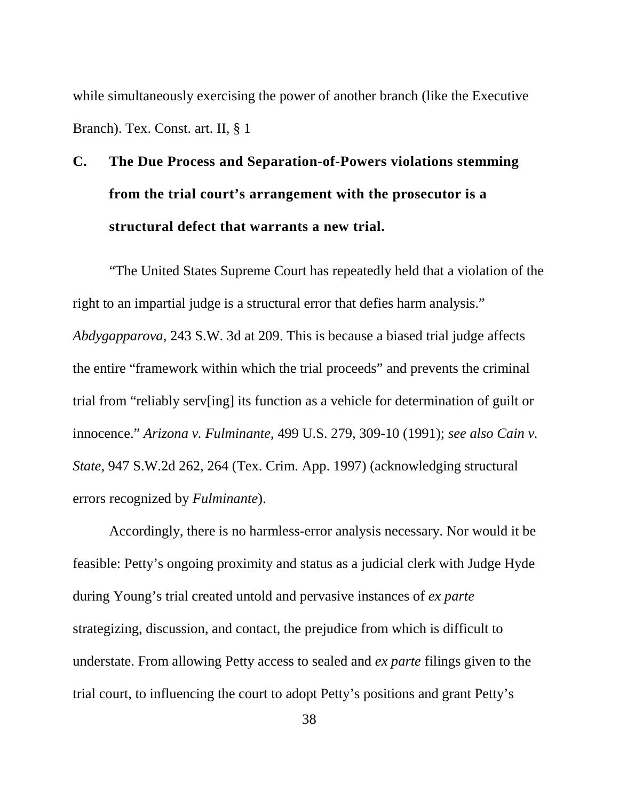<span id="page-44-2"></span>while simultaneously exercising the power of another branch (like the Executive Branch). Tex. Const. art. II, § 1

# **C. The Due Process and Separation-of-Powers violations stemming from the trial court's arrangement with the prosecutor is a structural defect that warrants a new trial.**

"The United States Supreme Court has repeatedly held that a violation of the right to an impartial judge is a structural error that defies harm analysis." *Abdygapparova*, 243 S.W. 3d at 209. This is because a biased trial judge affects the entire "framework within which the trial proceeds" and prevents the criminal trial from "reliably serv[ing] its function as a vehicle for determination of guilt or innocence." *Arizona v. Fulminante*, 499 U.S. 279, 309-10 (1991); *see also Cain v. State*, 947 S.W.2d 262, 264 (Tex. Crim. App. 1997) (acknowledging structural errors recognized by *Fulminante*).

<span id="page-44-1"></span><span id="page-44-0"></span>Accordingly, there is no harmless-error analysis necessary. Nor would it be feasible: Petty's ongoing proximity and status as a judicial clerk with Judge Hyde during Young's trial created untold and pervasive instances of *ex parte* strategizing, discussion, and contact, the prejudice from which is difficult to understate. From allowing Petty access to sealed and *ex parte* filings given to the trial court, to influencing the court to adopt Petty's positions and grant Petty's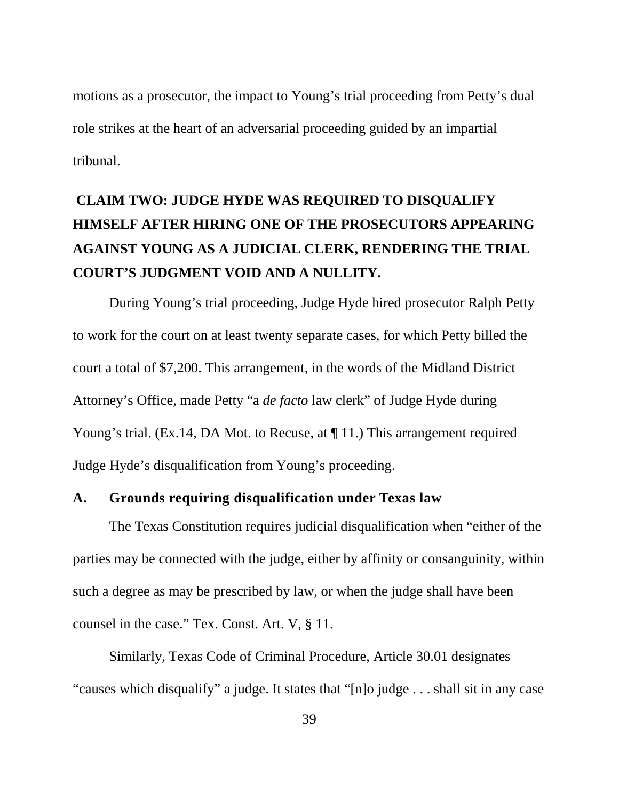motions as a prosecutor, the impact to Young's trial proceeding from Petty's dual role strikes at the heart of an adversarial proceeding guided by an impartial tribunal.

# **CLAIM TWO: JUDGE HYDE WAS REQUIRED TO DISQUALIFY HIMSELF AFTER HIRING ONE OF THE PROSECUTORS APPEARING AGAINST YOUNG AS A JUDICIAL CLERK, RENDERING THE TRIAL COURT'S JUDGMENT VOID AND A NULLITY.**

During Young's trial proceeding, Judge Hyde hired prosecutor Ralph Petty to work for the court on at least twenty separate cases, for which Petty billed the court a total of \$7,200. This arrangement, in the words of the Midland District Attorney's Office, made Petty "a *de facto* law clerk" of Judge Hyde during Young's trial. (Ex.14, DA Mot. to Recuse, at  $\P$  11.) This arrangement required Judge Hyde's disqualification from Young's proceeding.

#### **A. Grounds requiring disqualification under Texas law**

The Texas Constitution requires judicial disqualification when "either of the parties may be connected with the judge, either by affinity or consanguinity, within such a degree as may be prescribed by law, or when the judge shall have been counsel in the case." Tex. Const. Art. V, § 11.

<span id="page-45-0"></span>Similarly, Texas Code of Criminal Procedure, Article 30.01 designates "causes which disqualify" a judge. It states that "[n]o judge . . . shall sit in any case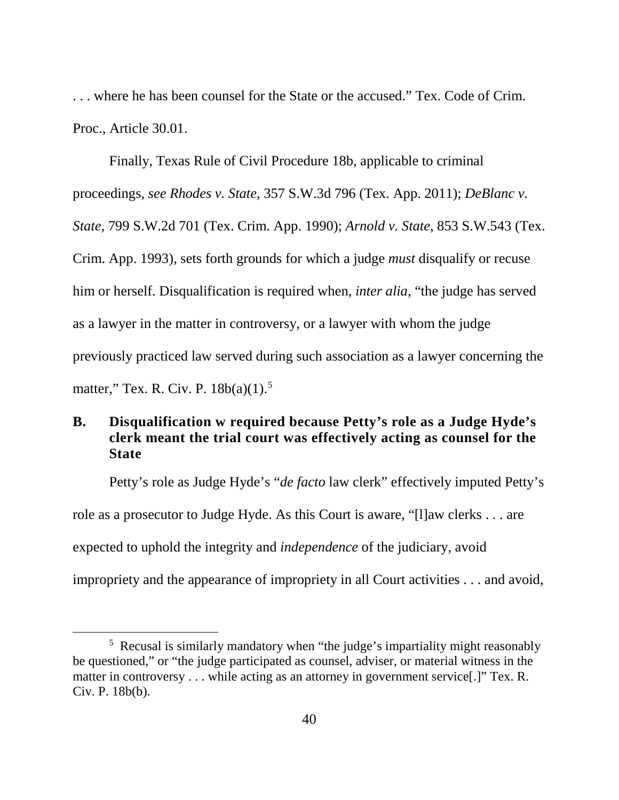. . . where he has been counsel for the State or the accused." Tex. Code of Crim. Proc., Article 30.01.

<span id="page-46-2"></span><span id="page-46-1"></span><span id="page-46-0"></span>Finally, Texas Rule of Civil Procedure 18b, applicable to criminal proceedings, *see Rhodes v. State*, 357 S.W.3d 796 (Tex. App. 2011); *DeBlanc v. State*, 799 S.W.2d 701 (Tex. Crim. App. 1990); *Arnold v. State*, 853 S.W.543 (Tex. Crim. App. 1993), sets forth grounds for which a judge *must* disqualify or recuse him or herself. Disqualification is required when, *inter alia*, "the judge has served as a lawyer in the matter in controversy, or a lawyer with whom the judge previously practiced law served during such association as a lawyer concerning the matter," Tex. R. Civ. P. 18b(a)(1).<sup>[5](#page-46-5)</sup>

#### <span id="page-46-3"></span>**B. Disqualification w required because Petty's role as a Judge Hyde's clerk meant the trial court was effectively acting as counsel for the State**

Petty's role as Judge Hyde's "*de facto* law clerk" effectively imputed Petty's role as a prosecutor to Judge Hyde. As this Court is aware, "[l]aw clerks . . . are expected to uphold the integrity and *independence* of the judiciary, avoid impropriety and the appearance of impropriety in all Court activities . . . and avoid,

<span id="page-46-5"></span><span id="page-46-4"></span> $\frac{1}{5}$ <sup>5</sup> Recusal is similarly mandatory when "the judge's impartiality might reasonably be questioned," or "the judge participated as counsel, adviser, or material witness in the matter in controversy . . . while acting as an attorney in government service[.]" Tex. R. Civ. P. 18b(b).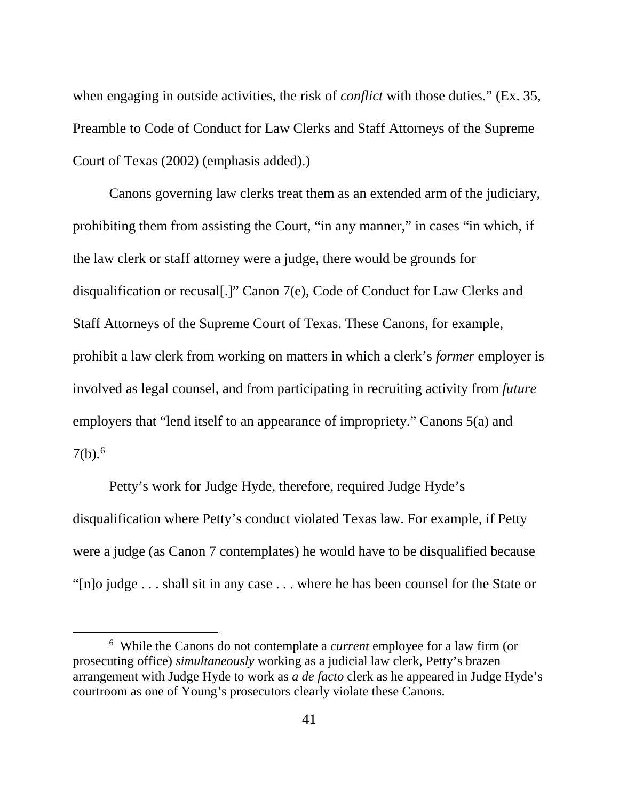when engaging in outside activities, the risk of *conflict* with those duties." (Ex. 35, Preamble to Code of Conduct for Law Clerks and Staff Attorneys of the Supreme Court of Texas (2002) (emphasis added).)

Canons governing law clerks treat them as an extended arm of the judiciary, prohibiting them from assisting the Court, "in any manner," in cases "in which, if the law clerk or staff attorney were a judge, there would be grounds for disqualification or recusal[.]" Canon 7(e), Code of Conduct for Law Clerks and Staff Attorneys of the Supreme Court of Texas. These Canons, for example, prohibit a law clerk from working on matters in which a clerk's *former* employer is involved as legal counsel, and from participating in recruiting activity from *future*  employers that "lend itself to an appearance of impropriety." Canons 5(a) and  $7(b).<sup>6</sup>$  $7(b).<sup>6</sup>$  $7(b).<sup>6</sup>$ 

Petty's work for Judge Hyde, therefore, required Judge Hyde's disqualification where Petty's conduct violated Texas law. For example, if Petty were a judge (as Canon 7 contemplates) he would have to be disqualified because "[n]o judge . . . shall sit in any case . . . where he has been counsel for the State or

<span id="page-47-0"></span> <sup>6</sup> While the Canons do not contemplate a *current* employee for a law firm (or prosecuting office) *simultaneously* working as a judicial law clerk, Petty's brazen arrangement with Judge Hyde to work as *a de facto* clerk as he appeared in Judge Hyde's courtroom as one of Young's prosecutors clearly violate these Canons.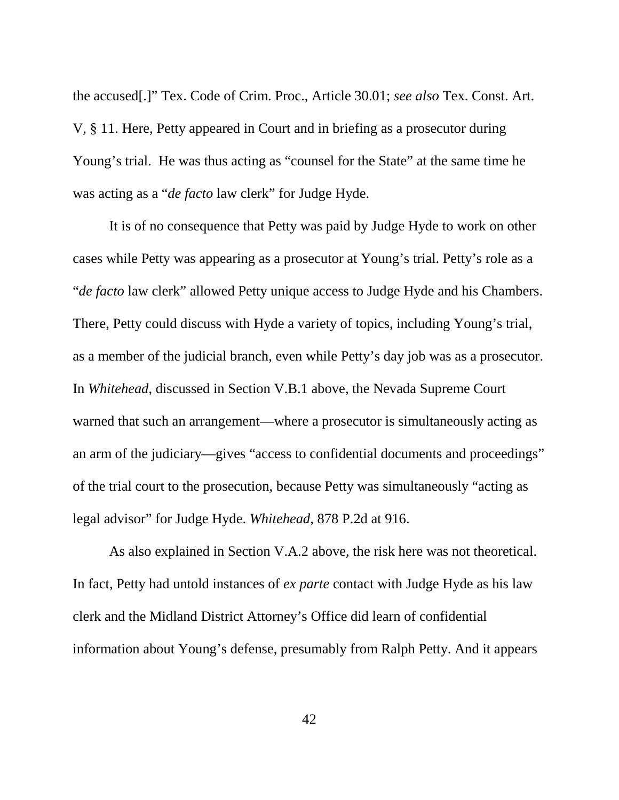<span id="page-48-0"></span>the accused[.]" Tex. Code of Crim. Proc., Article 30.01; *see also* Tex. Const. Art. V, § 11. Here, Petty appeared in Court and in briefing as a prosecutor during Young's trial. He was thus acting as "counsel for the State" at the same time he was acting as a "*de facto* law clerk" for Judge Hyde.

It is of no consequence that Petty was paid by Judge Hyde to work on other cases while Petty was appearing as a prosecutor at Young's trial. Petty's role as a "*de facto* law clerk" allowed Petty unique access to Judge Hyde and his Chambers. There, Petty could discuss with Hyde a variety of topics, including Young's trial, as a member of the judicial branch, even while Petty's day job was as a prosecutor. In *Whitehead*, discussed in Section V.B.1 above, the Nevada Supreme Court warned that such an arrangement—where a prosecutor is simultaneously acting as an arm of the judiciary—gives "access to confidential documents and proceedings" of the trial court to the prosecution, because Petty was simultaneously "acting as legal advisor" for Judge Hyde. *Whitehead,* 878 P.2d at 916.

As also explained in Section V.A.2 above, the risk here was not theoretical. In fact, Petty had untold instances of *ex parte* contact with Judge Hyde as his law clerk and the Midland District Attorney's Office did learn of confidential information about Young's defense, presumably from Ralph Petty. And it appears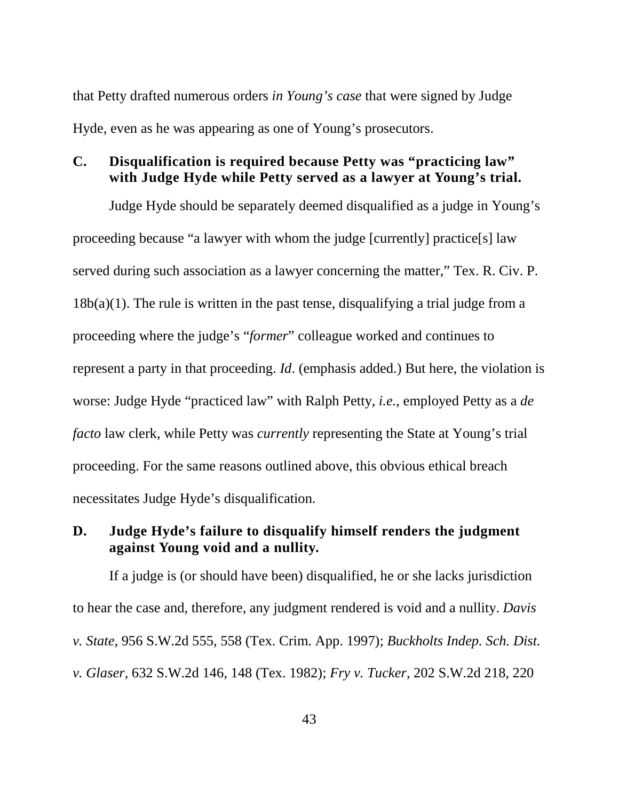that Petty drafted numerous orders *in Young's case* that were signed by Judge Hyde, even as he was appearing as one of Young's prosecutors.

#### **C. Disqualification is required because Petty was "practicing law" with Judge Hyde while Petty served as a lawyer at Young's trial.**

<span id="page-49-4"></span><span id="page-49-3"></span>Judge Hyde should be separately deemed disqualified as a judge in Young's proceeding because "a lawyer with whom the judge [currently] practice[s] law served during such association as a lawyer concerning the matter," Tex. R. Civ. P.  $18b(a)(1)$ . The rule is written in the past tense, disqualifying a trial judge from a proceeding where the judge's "*former*" colleague worked and continues to represent a party in that proceeding. *Id*. (emphasis added.) But here, the violation is worse: Judge Hyde "practiced law" with Ralph Petty, *i.e.*, employed Petty as a *de facto* law clerk, while Petty was *currently* representing the State at Young's trial proceeding. For the same reasons outlined above, this obvious ethical breach necessitates Judge Hyde's disqualification.

#### **D. Judge Hyde's failure to disqualify himself renders the judgment against Young void and a nullity.**

<span id="page-49-2"></span><span id="page-49-1"></span><span id="page-49-0"></span>If a judge is (or should have been) disqualified, he or she lacks jurisdiction to hear the case and, therefore, any judgment rendered is void and a nullity. *Davis v. State*, 956 S.W.2d 555, 558 (Tex. Crim. App. 1997); *Buckholts Indep. Sch. Dist. v. Glaser*, 632 S.W.2d 146, 148 (Tex. 1982); *Fry v. Tucker*, 202 S.W.2d 218, 220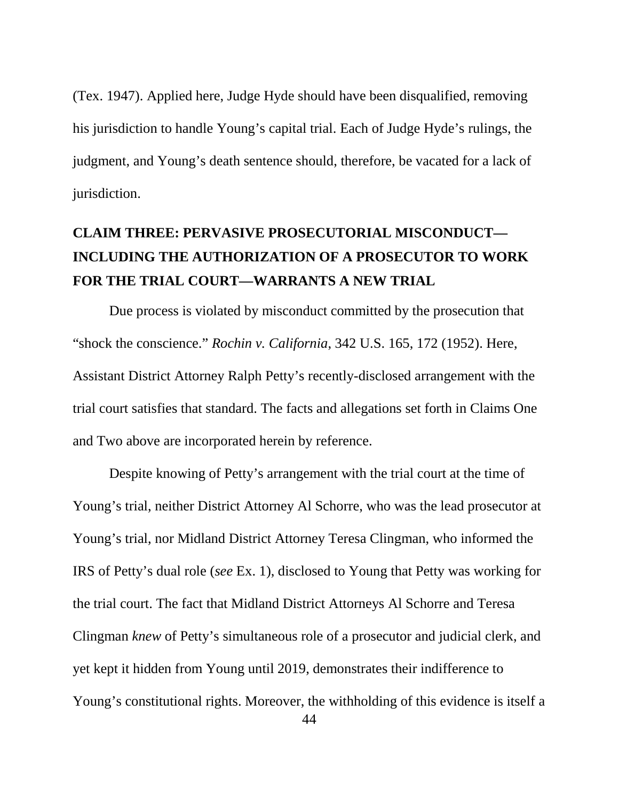(Tex. 1947). Applied here, Judge Hyde should have been disqualified, removing his jurisdiction to handle Young's capital trial. Each of Judge Hyde's rulings, the judgment, and Young's death sentence should, therefore, be vacated for a lack of jurisdiction.

# **CLAIM THREE: PERVASIVE PROSECUTORIAL MISCONDUCT— INCLUDING THE AUTHORIZATION OF A PROSECUTOR TO WORK FOR THE TRIAL COURT—WARRANTS A NEW TRIAL**

<span id="page-50-0"></span>Due process is violated by misconduct committed by the prosecution that "shock the conscience." *Rochin v. California*, 342 U.S. 165, 172 (1952). Here, Assistant District Attorney Ralph Petty's recently-disclosed arrangement with the trial court satisfies that standard. The facts and allegations set forth in Claims One and Two above are incorporated herein by reference.

Despite knowing of Petty's arrangement with the trial court at the time of Young's trial, neither District Attorney Al Schorre, who was the lead prosecutor at Young's trial, nor Midland District Attorney Teresa Clingman, who informed the IRS of Petty's dual role (*see* Ex. 1), disclosed to Young that Petty was working for the trial court. The fact that Midland District Attorneys Al Schorre and Teresa Clingman *knew* of Petty's simultaneous role of a prosecutor and judicial clerk, and yet kept it hidden from Young until 2019, demonstrates their indifference to Young's constitutional rights. Moreover, the withholding of this evidence is itself a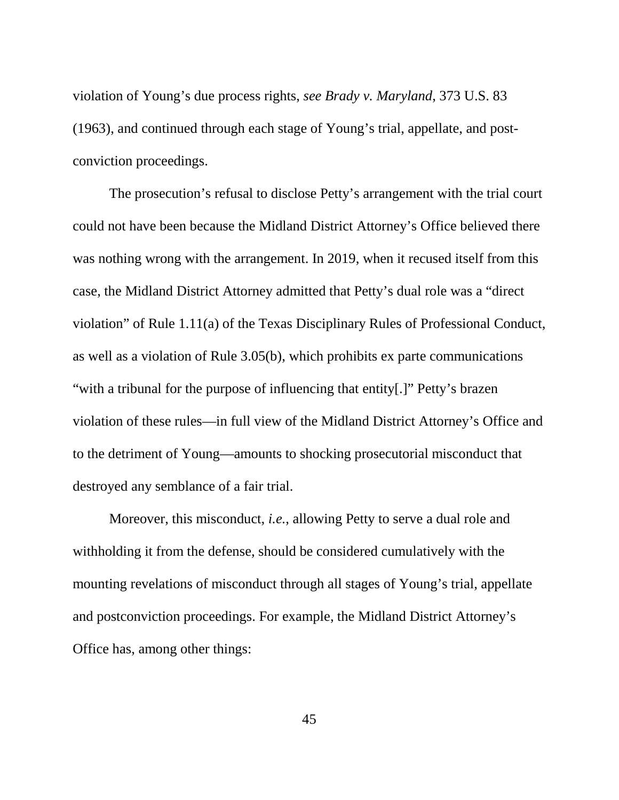<span id="page-51-0"></span>violation of Young's due process rights, *see Brady v. Maryland*, 373 U.S. 83 (1963), and continued through each stage of Young's trial, appellate, and postconviction proceedings.

<span id="page-51-2"></span><span id="page-51-1"></span>The prosecution's refusal to disclose Petty's arrangement with the trial court could not have been because the Midland District Attorney's Office believed there was nothing wrong with the arrangement. In 2019, when it recused itself from this case, the Midland District Attorney admitted that Petty's dual role was a "direct violation" of Rule 1.11(a) of the Texas Disciplinary Rules of Professional Conduct, as well as a violation of Rule 3.05(b), which prohibits ex parte communications "with a tribunal for the purpose of influencing that entity[.]" Petty's brazen violation of these rules—in full view of the Midland District Attorney's Office and to the detriment of Young—amounts to shocking prosecutorial misconduct that destroyed any semblance of a fair trial.

Moreover, this misconduct, *i.e.*, allowing Petty to serve a dual role and withholding it from the defense, should be considered cumulatively with the mounting revelations of misconduct through all stages of Young's trial, appellate and postconviction proceedings. For example, the Midland District Attorney's Office has, among other things:

45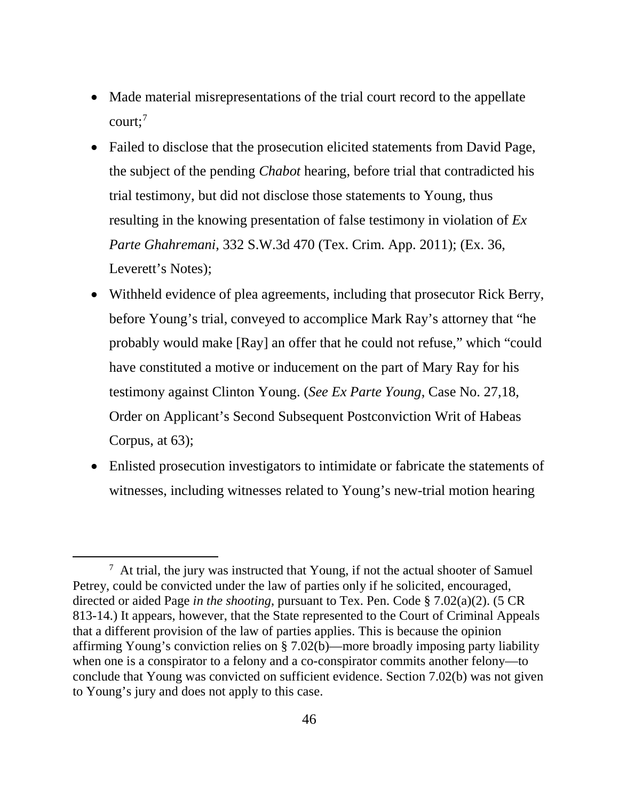- Made material misrepresentations of the trial court record to the appellate court: $7$
- <span id="page-52-0"></span>• Failed to disclose that the prosecution elicited statements from David Page, the subject of the pending *Chabot* hearing, before trial that contradicted his trial testimony, but did not disclose those statements to Young, thus resulting in the knowing presentation of false testimony in violation of *Ex Parte Ghahremani*, 332 S.W.3d 470 (Tex. Crim. App. 2011); (Ex. 36, Leverett's Notes):
- Withheld evidence of plea agreements, including that prosecutor Rick Berry, before Young's trial, conveyed to accomplice Mark Ray's attorney that "he probably would make [Ray] an offer that he could not refuse," which "could have constituted a motive or inducement on the part of Mary Ray for his testimony against Clinton Young. (*See Ex Parte Young*, Case No. 27,18, Order on Applicant's Second Subsequent Postconviction Writ of Habeas Corpus, at 63);
- Enlisted prosecution investigators to intimidate or fabricate the statements of witnesses, including witnesses related to Young's new-trial motion hearing

<span id="page-52-1"></span> <sup>7</sup>  $\frac{7}{7}$  At trial, the jury was instructed that Young, if not the actual shooter of Samuel Petrey, could be convicted under the law of parties only if he solicited, encouraged, directed or aided Page *in the shooting*, pursuant to Tex. Pen. Code § 7.02(a)(2). (5 CR 813-14.) It appears, however, that the State represented to the Court of Criminal Appeals that a different provision of the law of parties applies. This is because the opinion affirming Young's conviction relies on § 7.02(b)—more broadly imposing party liability when one is a conspirator to a felony and a co-conspirator commits another felony—to conclude that Young was convicted on sufficient evidence. Section 7.02(b) was not given to Young's jury and does not apply to this case.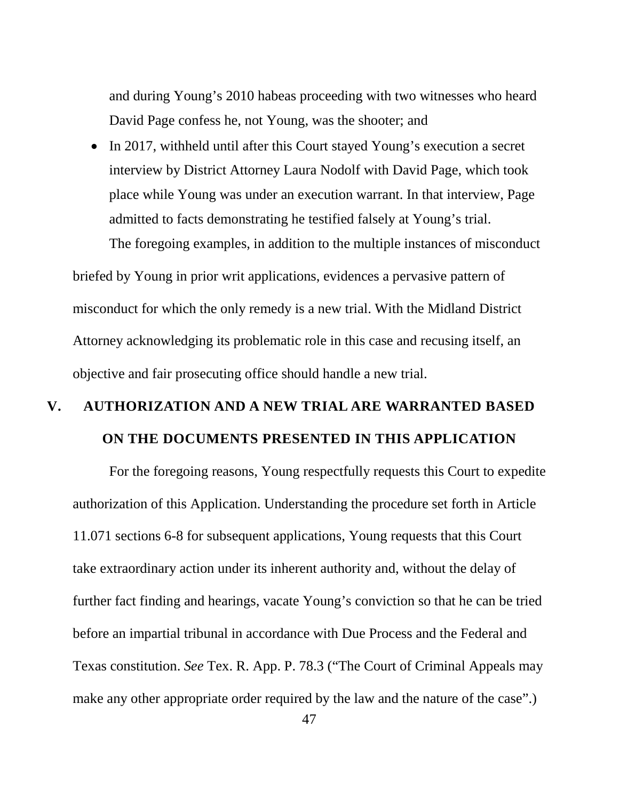and during Young's 2010 habeas proceeding with two witnesses who heard David Page confess he, not Young, was the shooter; and

• In 2017, withheld until after this Court stayed Young's execution a secret interview by District Attorney Laura Nodolf with David Page, which took place while Young was under an execution warrant. In that interview, Page admitted to facts demonstrating he testified falsely at Young's trial.

The foregoing examples, in addition to the multiple instances of misconduct

briefed by Young in prior writ applications, evidences a pervasive pattern of misconduct for which the only remedy is a new trial. With the Midland District Attorney acknowledging its problematic role in this case and recusing itself, an objective and fair prosecuting office should handle a new trial.

# **V. AUTHORIZATION AND A NEW TRIAL ARE WARRANTED BASED ON THE DOCUMENTS PRESENTED IN THIS APPLICATION**

<span id="page-53-0"></span>For the foregoing reasons, Young respectfully requests this Court to expedite authorization of this Application. Understanding the procedure set forth in Article 11.071 sections 6-8 for subsequent applications, Young requests that this Court take extraordinary action under its inherent authority and, without the delay of further fact finding and hearings, vacate Young's conviction so that he can be tried before an impartial tribunal in accordance with Due Process and the Federal and Texas constitution. *See* Tex. R. App. P. 78.3 ("The Court of Criminal Appeals may make any other appropriate order required by the law and the nature of the case".)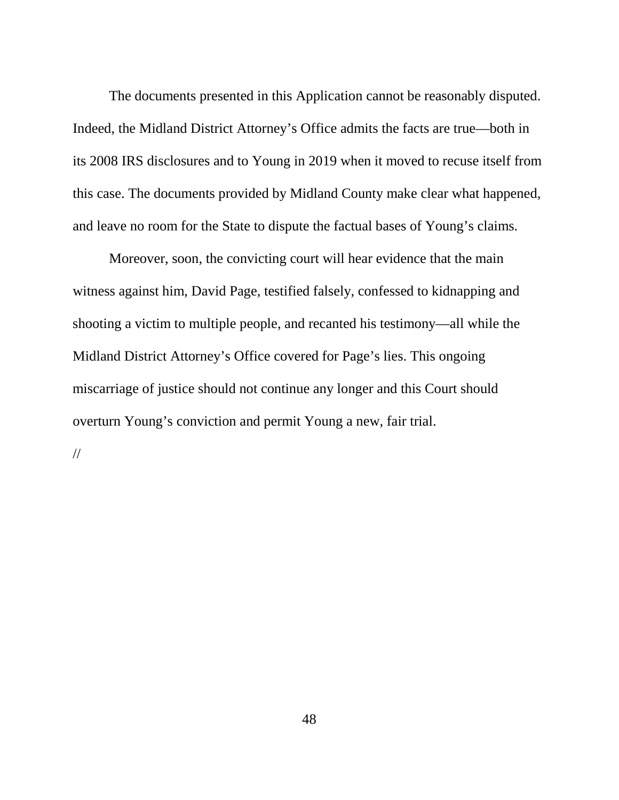The documents presented in this Application cannot be reasonably disputed. Indeed, the Midland District Attorney's Office admits the facts are true—both in its 2008 IRS disclosures and to Young in 2019 when it moved to recuse itself from this case. The documents provided by Midland County make clear what happened, and leave no room for the State to dispute the factual bases of Young's claims.

Moreover, soon, the convicting court will hear evidence that the main witness against him, David Page, testified falsely, confessed to kidnapping and shooting a victim to multiple people, and recanted his testimony—all while the Midland District Attorney's Office covered for Page's lies. This ongoing miscarriage of justice should not continue any longer and this Court should overturn Young's conviction and permit Young a new, fair trial.

//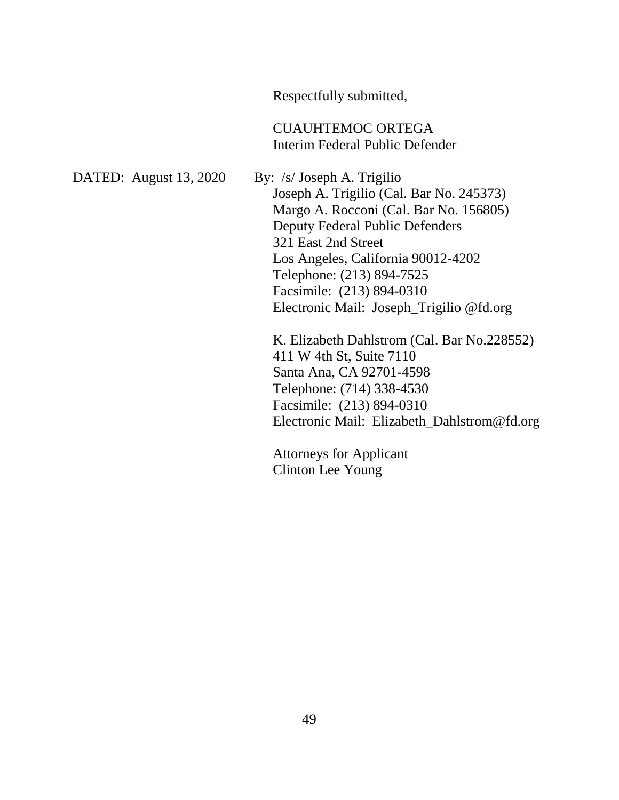Respectfully submitted, CUAUHTEMOC ORTEGA Interim Federal Public Defender DATED: August 13, 2020 By: /s/ Joseph A. Trigilio Joseph A. Trigilio (Cal. Bar No. 245373) Margo A. Rocconi (Cal. Bar No. 156805) Deputy Federal Public Defenders 321 East 2nd Street Los Angeles, California 90012-4202 Telephone: (213) 894-7525 Facsimile: (213) 894-0310 Electronic Mail: Joseph\_Trigilio @fd.org K. Elizabeth Dahlstrom (Cal. Bar No.228552) 411 W 4th St, Suite 7110 Santa Ana, CA 92701-4598 Telephone: (714) 338-4530 Facsimile: (213) 894-0310 Electronic Mail: Elizabeth\_Dahlstrom@fd.org Attorneys for Applicant Clinton Lee Young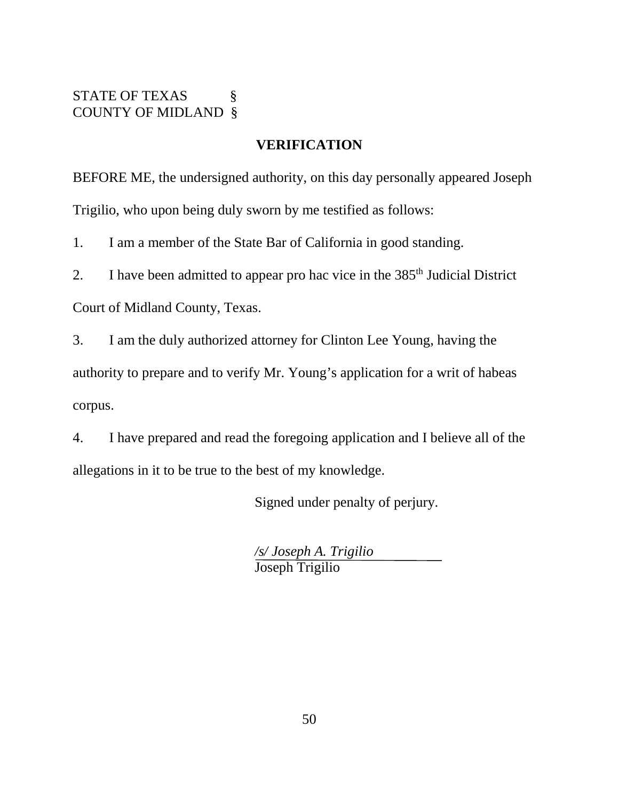#### STATE OF TEXAS § COUNTY OF MIDLAND §

#### **VERIFICATION**

BEFORE ME, the undersigned authority, on this day personally appeared Joseph Trigilio, who upon being duly sworn by me testified as follows:

1. I am a member of the State Bar of California in good standing.

2. I have been admitted to appear pro hac vice in the  $385<sup>th</sup>$  Judicial District

Court of Midland County, Texas.

3. I am the duly authorized attorney for Clinton Lee Young, having the authority to prepare and to verify Mr. Young's application for a writ of habeas corpus.

4. I have prepared and read the foregoing application and I believe all of the allegations in it to be true to the best of my knowledge.

Signed under penalty of perjury.

*/s/ Joseph A. Trigilio* Joseph Trigilio